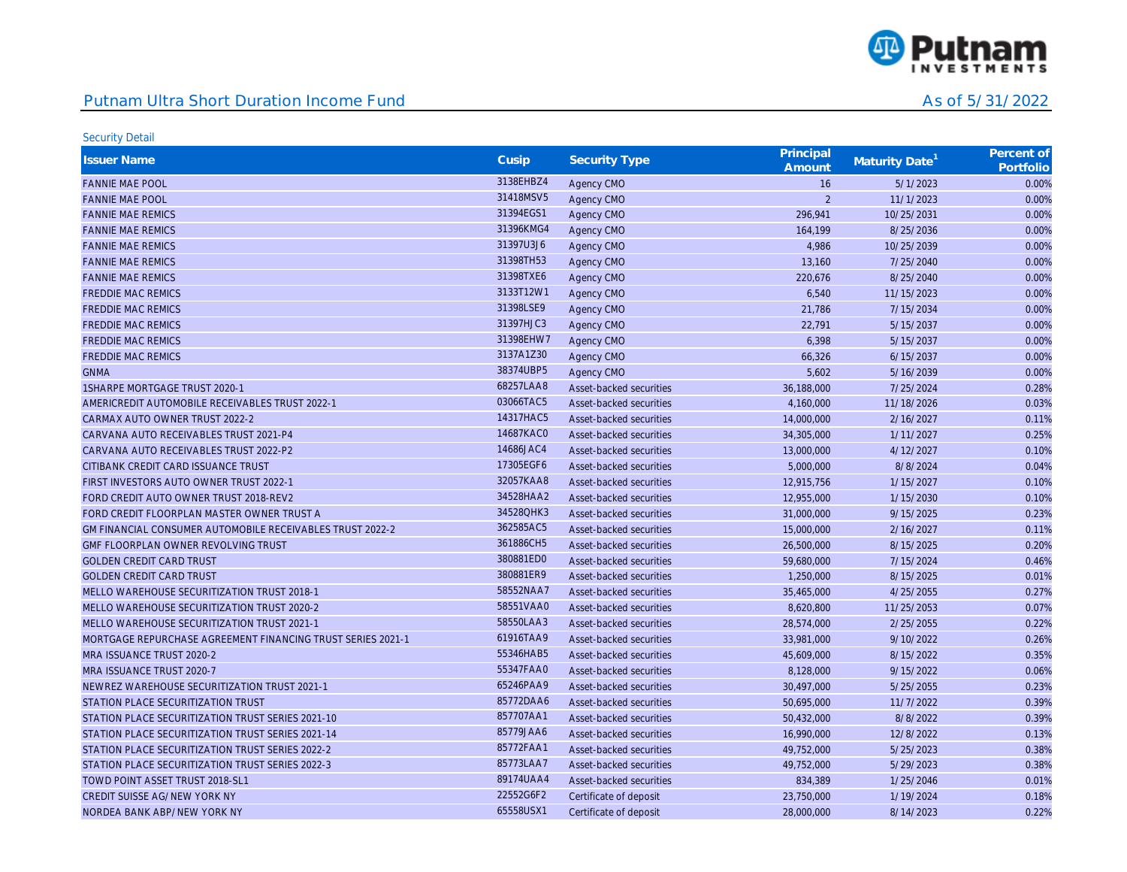

| <b>Issuer Name</b>                                                 | Cusip     | <b>Security Type</b>    | Principal<br>Amount      | Maturity Date <sup>1</sup> | Percent of<br>Portfolio |
|--------------------------------------------------------------------|-----------|-------------------------|--------------------------|----------------------------|-------------------------|
| <b>FANNIE MAE POOL</b>                                             | 3138EHBZ4 | Agency CMO              | 16                       | 5/1/2023                   | 0.00%                   |
| <b>FANNIE MAE POOL</b>                                             | 31418MSV5 | Agency CMO              | $\overline{\phantom{a}}$ | 11/1/2023                  | 0.00%                   |
| <b>FANNIE MAE REMICS</b>                                           | 31394EGS1 | Agency CMO              | 296,941                  | 10/25/2031                 | 0.00%                   |
| <b>FANNIE MAE REMICS</b>                                           | 31396KMG4 | Agency CMO              | 164,199                  | 8/25/2036                  | 0.00%                   |
| <b>FANNIE MAE REMICS</b>                                           | 31397U3J6 | Agency CMO              | 4,986                    | 10/25/2039                 | 0.00%                   |
| <b>FANNIE MAE REMICS</b>                                           | 31398TH53 | Agency CMO              | 13,160                   | 7/25/2040                  | 0.00%                   |
| <b>FANNIE MAE REMICS</b>                                           | 31398TXE6 | Agency CMO              | 220,676                  | 8/25/2040                  | 0.00%                   |
| <b>FREDDIE MAC REMICS</b>                                          | 3133T12W1 | Agency CMO              | 6,540                    | 11/15/2023                 | 0.00%                   |
| <b>FREDDIE MAC REMICS</b>                                          | 31398LSE9 | Agency CMO              | 21,786                   | 7/15/2034                  | 0.00%                   |
| <b>FREDDIE MAC REMICS</b>                                          | 31397HJC3 | Agency CMO              | 22,791                   | 5/15/2037                  | 0.00%                   |
| <b>FREDDIE MAC REMICS</b>                                          | 31398EHW7 | Agency CMO              | 6,398                    | 5/15/2037                  | 0.00%                   |
| <b>FREDDIE MAC REMICS</b>                                          | 3137A1Z30 | Agency CMO              | 66,326                   | 6/15/2037                  | 0.00%                   |
| <b>GNMA</b>                                                        | 38374UBP5 | Agency CMO              | 5,602                    | 5/16/2039                  | 0.00%                   |
| 1SHARPE MORTGAGE TRUST 2020-1                                      | 68257LAA8 | Asset-backed securities | 36,188,000               | 7/25/2024                  | 0.28%                   |
| AMERICREDIT AUTOMOBILE RECEIVABLES TRUST 2022-1                    | 03066TAC5 | Asset-backed securities | 4,160,000                | 11/18/2026                 | 0.03%                   |
| CARMAX AUTO OWNER TRUST 2022-2                                     | 14317HAC5 | Asset-backed securities | 14,000,000               | 2/16/2027                  | 0.11%                   |
| CARVANA AUTO RECEIVABLES TRUST 2021-P4                             | 14687KAC0 | Asset-backed securities | 34,305,000               | 1/11/2027                  | 0.25%                   |
| CARVANA AUTO RECEIVABLES TRUST 2022-P2                             | 14686JAC4 | Asset-backed securities | 13,000,000               | 4/12/2027                  | 0.10%                   |
| CITIBANK CREDIT CARD ISSUANCE TRUST                                | 17305EGF6 | Asset-backed securities | 5,000,000                | 8/8/2024                   | 0.04%                   |
| FIRST INVESTORS AUTO OWNER TRUST 2022-1                            | 32057KAA8 | Asset-backed securities | 12,915,756               | 1/15/2027                  | 0.10%                   |
| FORD CREDIT AUTO OWNER TRUST 2018-REV2                             | 34528HAA2 | Asset-backed securities | 12,955,000               | 1/15/2030                  | 0.10%                   |
| FORD CREDIT FLOORPLAN MASTER OWNER TRUST A                         | 34528QHK3 | Asset-backed securities | 31,000,000               | 9/15/2025                  | 0.23%                   |
| <b>GM FINANCIAL CONSUMER AUTOMOBILE RECEIVABLES TRUST 2022-2</b>   | 362585AC5 | Asset-backed securities | 15,000,000               | 2/16/2027                  | 0.11%                   |
| GMF FLOORPLAN OWNER REVOLVING TRUST                                | 361886CH5 | Asset-backed securities | 26,500,000               | 8/15/2025                  | 0.20%                   |
| <b>GOLDEN CREDIT CARD TRUST</b>                                    | 380881ED0 | Asset-backed securities | 59,680,000               | 7/15/2024                  | 0.46%                   |
| <b>GOLDEN CREDIT CARD TRUST</b>                                    | 380881ER9 | Asset-backed securities | 1,250,000                | 8/15/2025                  | 0.01%                   |
| MELLO WAREHOUSE SECURITIZATION TRUST 2018-1                        | 58552NAA7 | Asset-backed securities | 35,465,000               | 4/25/2055                  | 0.27%                   |
| MELLO WAREHOUSE SECURITIZATION TRUST 2020-2                        | 58551VAA0 | Asset-backed securities | 8,620,800                | 11/25/2053                 | 0.07%                   |
| MELLO WAREHOUSE SECURITIZATION TRUST 2021-1                        | 58550LAA3 | Asset-backed securities | 28,574,000               | 2/25/2055                  | 0.22%                   |
| <b>MORTGAGE REPURCHASE AGREEMENT FINANCING TRUST SERIES 2021-1</b> | 61916TAA9 | Asset-backed securities | 33,981,000               | 9/10/2022                  | 0.26%                   |
| MRA ISSUANCE TRUST 2020-2                                          | 55346HAB5 | Asset-backed securities | 45,609,000               | 8/15/2022                  | 0.35%                   |
| MRA ISSUANCE TRUST 2020-7                                          | 55347FAA0 | Asset-backed securities | 8,128,000                | 9/15/2022                  | 0.06%                   |
| NEWREZ WAREHOUSE SECURITIZATION TRUST 2021-1                       | 65246PAA9 | Asset-backed securities | 30,497,000               | 5/25/2055                  | 0.23%                   |
| STATION PLACE SECURITIZATION TRUST                                 | 85772DAA6 | Asset-backed securities | 50,695,000               | 11/7/2022                  | 0.39%                   |
| STATION PLACE SECURITIZATION TRUST SERIES 2021-10                  | 857707AA1 | Asset-backed securities | 50,432,000               | 8/8/2022                   | 0.39%                   |
| STATION PLACE SECURITIZATION TRUST SERIES 2021-14                  | 85779JAA6 | Asset-backed securities | 16,990,000               | 12/8/2022                  | 0.13%                   |
| STATION PLACE SECURITIZATION TRUST SERIES 2022-2                   | 85772FAA1 | Asset-backed securities | 49,752,000               | 5/25/2023                  | 0.38%                   |
| STATION PLACE SECURITIZATION TRUST SERIES 2022-3                   | 85773LAA7 | Asset-backed securities | 49,752,000               | 5/29/2023                  | 0.38%                   |
| TOWD POINT ASSET TRUST 2018-SL1                                    | 89174UAA4 | Asset-backed securities | 834,389                  | 1/25/2046                  | 0.01%                   |
| CREDIT SUISSE AG/NEW YORK NY                                       | 22552G6F2 | Certificate of deposit  | 23,750,000               | 1/19/2024                  | 0.18%                   |
| NORDEA BANK ABP/NEW YORK NY                                        | 65558USX1 | Certificate of deposit  | 28,000,000               | 8/14/2023                  | 0.22%                   |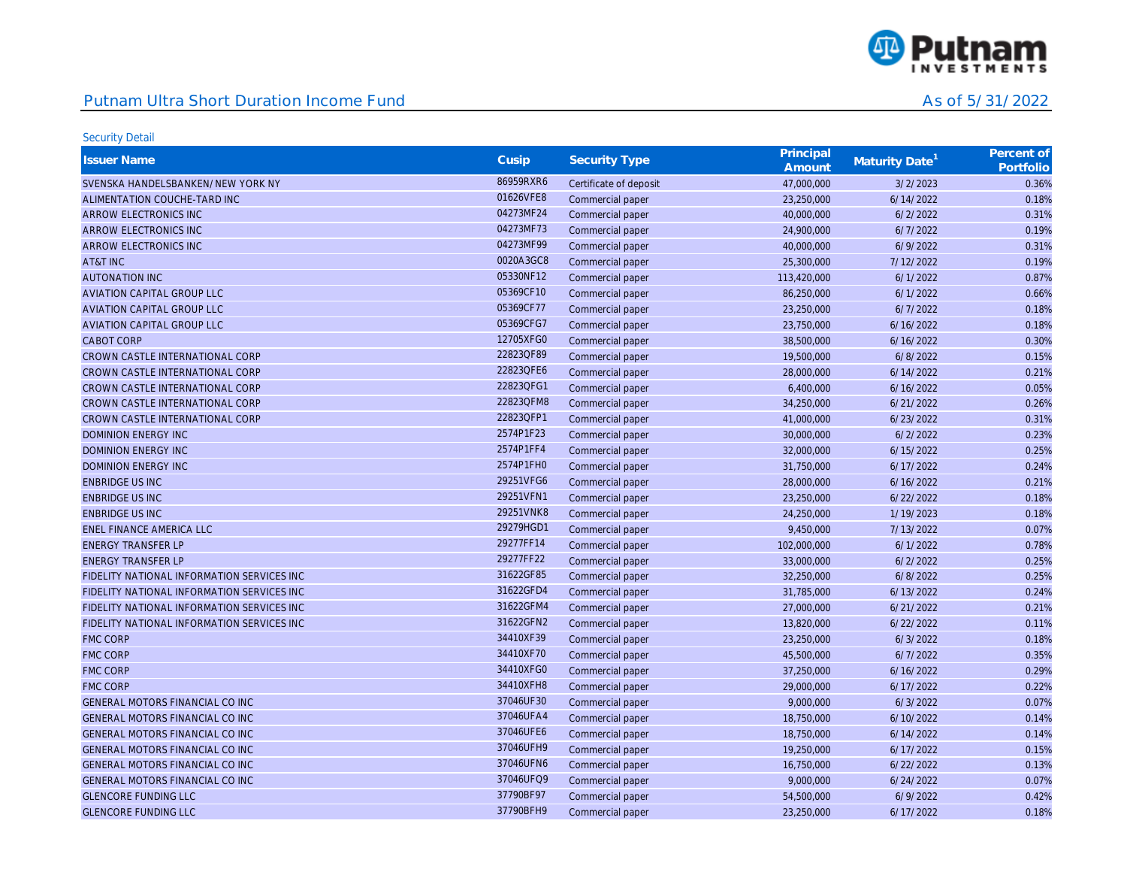

| <b>Issuer Name</b>                         | Cusip     | <b>Security Type</b>   | Principal<br>Amount | Maturity Date <sup>1</sup> | Percent of<br>Portfolio |
|--------------------------------------------|-----------|------------------------|---------------------|----------------------------|-------------------------|
| SVENSKA HANDELSBANKEN/NEW YORK NY          | 86959RXR6 | Certificate of deposit | 47,000,000          | 3/2/2023                   | 0.36%                   |
| ALIMENTATION COUCHE-TARD INC               | 01626VFE8 | Commercial paper       | 23,250,000          | 6/14/2022                  | 0.18%                   |
| ARROW ELECTRONICS INC                      | 04273MF24 | Commercial paper       | 40,000,000          | 6/2/2022                   | 0.31%                   |
| ARROW ELECTRONICS INC                      | 04273MF73 | Commercial paper       | 24,900,000          | 6/7/2022                   | 0.19%                   |
| ARROW ELECTRONICS INC                      | 04273MF99 | Commercial paper       | 40,000,000          | 6/9/2022                   | 0.31%                   |
| AT&T INC                                   | 0020A3GC8 | Commercial paper       | 25,300,000          | 7/12/2022                  | 0.19%                   |
| <b>AUTONATION INC</b>                      | 05330NF12 | Commercial paper       | 113,420,000         | 6/1/2022                   | 0.87%                   |
| <b>AVIATION CAPITAL GROUP LLC</b>          | 05369CF10 | Commercial paper       | 86,250,000          | 6/1/2022                   | 0.66%                   |
| <b>AVIATION CAPITAL GROUP LLC</b>          | 05369CF77 | Commercial paper       | 23,250,000          | 6/7/2022                   | 0.18%                   |
| <b>AVIATION CAPITAL GROUP LLC</b>          | 05369CFG7 | Commercial paper       | 23,750,000          | 6/16/2022                  | 0.18%                   |
| <b>CABOT CORP</b>                          | 12705XFG0 | Commercial paper       | 38,500,000          | 6/16/2022                  | 0.30%                   |
| CROWN CASTLE INTERNATIONAL CORP            | 22823QF89 | Commercial paper       | 19,500,000          | 6/8/2022                   | 0.15%                   |
| CROWN CASTLE INTERNATIONAL CORP            | 22823QFE6 | Commercial paper       | 28,000,000          | 6/14/2022                  | 0.21%                   |
| CROWN CASTLE INTERNATIONAL CORP            | 22823QFG1 | Commercial paper       | 6,400,000           | 6/16/2022                  | 0.05%                   |
| CROWN CASTLE INTERNATIONAL CORP            | 22823QFM8 | Commercial paper       | 34,250,000          | 6/21/2022                  | 0.26%                   |
| CROWN CASTLE INTERNATIONAL CORP            | 22823QFP1 | Commercial paper       | 41,000,000          | 6/23/2022                  | 0.31%                   |
| <b>DOMINION ENERGY INC</b>                 | 2574P1F23 | Commercial paper       | 30,000,000          | 6/2/2022                   | 0.23%                   |
| <b>DOMINION ENERGY INC</b>                 | 2574P1FF4 | Commercial paper       | 32,000,000          | 6/15/2022                  | 0.25%                   |
| <b>DOMINION ENERGY INC</b>                 | 2574P1FH0 | Commercial paper       | 31,750,000          | 6/17/2022                  | 0.24%                   |
| <b>ENBRIDGE US INC</b>                     | 29251VFG6 | Commercial paper       | 28,000,000          | 6/16/2022                  | 0.21%                   |
| <b>ENBRIDGE US INC</b>                     | 29251VFN1 | Commercial paper       | 23,250,000          | 6/22/2022                  | 0.18%                   |
| <b>ENBRIDGE US INC</b>                     | 29251VNK8 | Commercial paper       | 24,250,000          | 1/19/2023                  | 0.18%                   |
| <b>ENEL FINANCE AMERICA LLC</b>            | 29279HGD1 | Commercial paper       | 9,450,000           | 7/13/2022                  | 0.07%                   |
| <b>ENERGY TRANSFER LP</b>                  | 29277FF14 | Commercial paper       | 102,000,000         | 6/1/2022                   | 0.78%                   |
| <b>ENERGY TRANSFER LP</b>                  | 29277FF22 | Commercial paper       | 33,000,000          | 6/2/2022                   | 0.25%                   |
| FIDELITY NATIONAL INFORMATION SERVICES INC | 31622GF85 | Commercial paper       | 32,250,000          | 6/8/2022                   | 0.25%                   |
| FIDELITY NATIONAL INFORMATION SERVICES INC | 31622GFD4 | Commercial paper       | 31,785,000          | 6/13/2022                  | 0.24%                   |
| FIDELITY NATIONAL INFORMATION SERVICES INC | 31622GFM4 | Commercial paper       | 27,000,000          | 6/21/2022                  | 0.21%                   |
| FIDELITY NATIONAL INFORMATION SERVICES INC | 31622GFN2 | Commercial paper       | 13,820,000          | 6/22/2022                  | 0.11%                   |
| <b>FMC CORP</b>                            | 34410XF39 | Commercial paper       | 23,250,000          | 6/3/2022                   | 0.18%                   |
| <b>FMC CORP</b>                            | 34410XF70 | Commercial paper       | 45,500,000          | 6/7/2022                   | 0.35%                   |
| <b>FMC CORP</b>                            | 34410XFG0 | Commercial paper       | 37,250,000          | 6/16/2022                  | 0.29%                   |
| <b>FMC CORP</b>                            | 34410XFH8 | Commercial paper       | 29,000,000          | 6/17/2022                  | 0.22%                   |
| GENERAL MOTORS FINANCIAL CO INC            | 37046UF30 | Commercial paper       | 9,000,000           | 6/3/2022                   | 0.07%                   |
| GENERAL MOTORS FINANCIAL CO INC            | 37046UFA4 | Commercial paper       | 18,750,000          | 6/10/2022                  | 0.14%                   |
| GENERAL MOTORS FINANCIAL CO INC            | 37046UFE6 | Commercial paper       | 18,750,000          | 6/14/2022                  | 0.14%                   |
| GENERAL MOTORS FINANCIAL CO INC            | 37046UFH9 | Commercial paper       | 19,250,000          | 6/17/2022                  | 0.15%                   |
| GENERAL MOTORS FINANCIAL CO INC            | 37046UFN6 | Commercial paper       | 16,750,000          | 6/22/2022                  | 0.13%                   |
| GENERAL MOTORS FINANCIAL CO INC            | 37046UFQ9 | Commercial paper       | 9,000,000           | 6/24/2022                  | 0.07%                   |
| <b>GLENCORE FUNDING LLC</b>                | 37790BF97 | Commercial paper       | 54,500,000          | 6/9/2022                   | 0.42%                   |
| <b>GLENCORE FUNDING LLC</b>                | 37790BFH9 | Commercial paper       | 23,250,000          | 6/17/2022                  | 0.18%                   |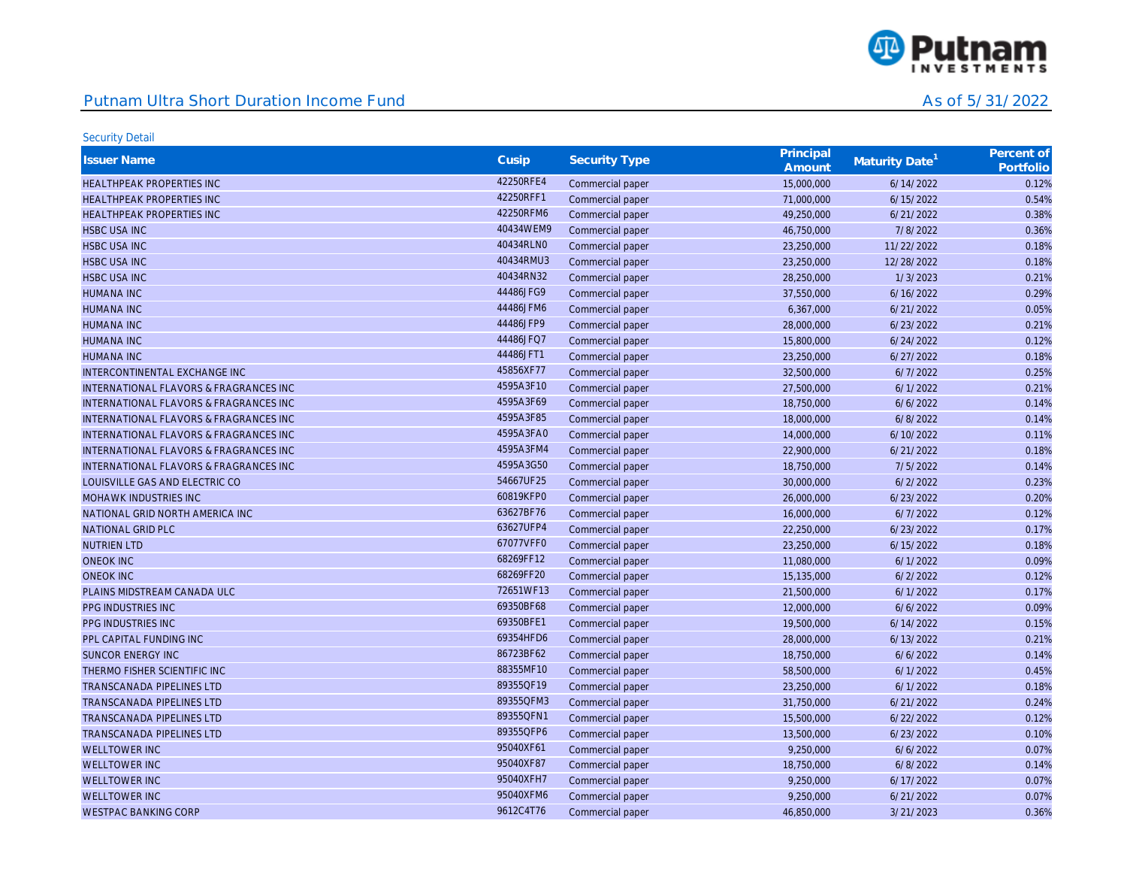

| <b>Issuer Name</b>                                | Cusip     | <b>Security Type</b> | Principal<br>Amount | Maturity Date <sup>1</sup> | Percent of<br>Portfolio |
|---------------------------------------------------|-----------|----------------------|---------------------|----------------------------|-------------------------|
| HEALTHPEAK PROPERTIES INC                         | 42250RFE4 | Commercial paper     | 15,000,000          | 6/14/2022                  | 0.12%                   |
| HEALTHPEAK PROPERTIES INC                         | 42250RFF1 | Commercial paper     | 71,000,000          | 6/15/2022                  | 0.54%                   |
| <b>HEALTHPEAK PROPERTIES INC</b>                  | 42250RFM6 | Commercial paper     | 49,250,000          | 6/21/2022                  | 0.38%                   |
| <b>HSBC USA INC</b>                               | 40434WEM9 | Commercial paper     | 46,750,000          | 7/8/2022                   | 0.36%                   |
| <b>HSBC USA INC</b>                               | 40434RLN0 | Commercial paper     | 23,250,000          | 11/22/2022                 | 0.18%                   |
| <b>HSBC USA INC</b>                               | 40434RMU3 | Commercial paper     | 23,250,000          | 12/28/2022                 | 0.18%                   |
| <b>HSBC USA INC</b>                               | 40434RN32 | Commercial paper     | 28,250,000          | 1/3/2023                   | 0.21%                   |
| <b>HUMANA INC</b>                                 | 44486JFG9 | Commercial paper     | 37,550,000          | 6/16/2022                  | 0.29%                   |
| <b>HUMANA INC</b>                                 | 44486JFM6 | Commercial paper     | 6,367,000           | 6/21/2022                  | 0.05%                   |
| <b>HUMANA INC</b>                                 | 44486JFP9 | Commercial paper     | 28,000,000          | 6/23/2022                  | 0.21%                   |
| <b>HUMANA INC</b>                                 | 44486JFQ7 | Commercial paper     | 15,800,000          | 6/24/2022                  | 0.12%                   |
| <b>HUMANA INC</b>                                 | 44486JFT1 | Commercial paper     | 23,250,000          | 6/27/2022                  | 0.18%                   |
| INTERCONTINENTAL EXCHANGE INC                     | 45856XF77 | Commercial paper     | 32,500,000          | 6/7/2022                   | 0.25%                   |
| <b>INTERNATIONAL FLAVORS &amp; FRAGRANCES INC</b> | 4595A3F10 | Commercial paper     | 27,500,000          | 6/1/2022                   | 0.21%                   |
| <b>INTERNATIONAL FLAVORS &amp; FRAGRANCES INC</b> | 4595A3F69 | Commercial paper     | 18,750,000          | 6/6/2022                   | 0.14%                   |
| INTERNATIONAL FLAVORS & FRAGRANCES INC            | 4595A3F85 | Commercial paper     | 18,000,000          | 6/8/2022                   | 0.14%                   |
| <b>INTERNATIONAL FLAVORS &amp; FRAGRANCES INC</b> | 4595A3FA0 | Commercial paper     | 14,000,000          | 6/10/2022                  | 0.11%                   |
| <b>INTERNATIONAL FLAVORS &amp; FRAGRANCES INC</b> | 4595A3FM4 | Commercial paper     | 22,900,000          | 6/21/2022                  | 0.18%                   |
| <b>INTERNATIONAL FLAVORS &amp; FRAGRANCES INC</b> | 4595A3G50 | Commercial paper     | 18,750,000          | 7/5/2022                   | 0.14%                   |
| LOUISVILLE GAS AND ELECTRIC CO                    | 54667UF25 | Commercial paper     | 30,000,000          | 6/2/2022                   | 0.23%                   |
| <b>MOHAWK INDUSTRIES INC</b>                      | 60819KFP0 | Commercial paper     | 26,000,000          | 6/23/2022                  | 0.20%                   |
| NATIONAL GRID NORTH AMERICA INC                   | 63627BF76 | Commercial paper     | 16,000,000          | 6/7/2022                   | 0.12%                   |
| <b>NATIONAL GRID PLC</b>                          | 63627UFP4 | Commercial paper     | 22,250,000          | 6/23/2022                  | 0.17%                   |
| <b>NUTRIEN LTD</b>                                | 67077VFF0 | Commercial paper     | 23,250,000          | 6/15/2022                  | 0.18%                   |
| <b>ONEOK INC</b>                                  | 68269FF12 | Commercial paper     | 11,080,000          | 6/1/2022                   | 0.09%                   |
| <b>ONEOK INC</b>                                  | 68269FF20 | Commercial paper     | 15,135,000          | 6/2/2022                   | 0.12%                   |
| PLAINS MIDSTREAM CANADA ULC                       | 72651WF13 | Commercial paper     | 21,500,000          | 6/1/2022                   | 0.17%                   |
| PPG INDUSTRIES INC                                | 69350BF68 | Commercial paper     | 12,000,000          | 6/6/2022                   | 0.09%                   |
| PPG INDUSTRIES INC                                | 69350BFE1 | Commercial paper     | 19,500,000          | 6/14/2022                  | 0.15%                   |
| PPL CAPITAL FUNDING INC                           | 69354HFD6 | Commercial paper     | 28,000,000          | 6/13/2022                  | 0.21%                   |
| <b>SUNCOR ENERGY INC</b>                          | 86723BF62 | Commercial paper     | 18,750,000          | 6/6/2022                   | 0.14%                   |
| THERMO FISHER SCIENTIFIC INC                      | 88355MF10 | Commercial paper     | 58,500,000          | 6/1/2022                   | 0.45%                   |
| TRANSCANADA PIPELINES LTD                         | 89355QF19 | Commercial paper     | 23,250,000          | 6/1/2022                   | 0.18%                   |
| <b>TRANSCANADA PIPELINES LTD</b>                  | 89355QFM3 | Commercial paper     | 31,750,000          | 6/21/2022                  | 0.24%                   |
| TRANSCANADA PIPELINES LTD                         | 89355QFN1 | Commercial paper     | 15,500,000          | 6/22/2022                  | 0.12%                   |
| <b>TRANSCANADA PIPELINES LTD</b>                  | 89355QFP6 | Commercial paper     | 13,500,000          | 6/23/2022                  | 0.10%                   |
| <b>WELLTOWER INC</b>                              | 95040XF61 | Commercial paper     | 9,250,000           | 6/6/2022                   | 0.07%                   |
| <b>WELLTOWER INC</b>                              | 95040XF87 | Commercial paper     | 18,750,000          | 6/8/2022                   | 0.14%                   |
| <b>WELLTOWER INC</b>                              | 95040XFH7 | Commercial paper     | 9,250,000           | 6/17/2022                  | 0.07%                   |
| <b>WELLTOWER INC</b>                              | 95040XFM6 | Commercial paper     | 9,250,000           | 6/21/2022                  | 0.07%                   |
| <b>WESTPAC BANKING CORP</b>                       | 9612C4T76 | Commercial paper     | 46,850,000          | 3/21/2023                  | 0.36%                   |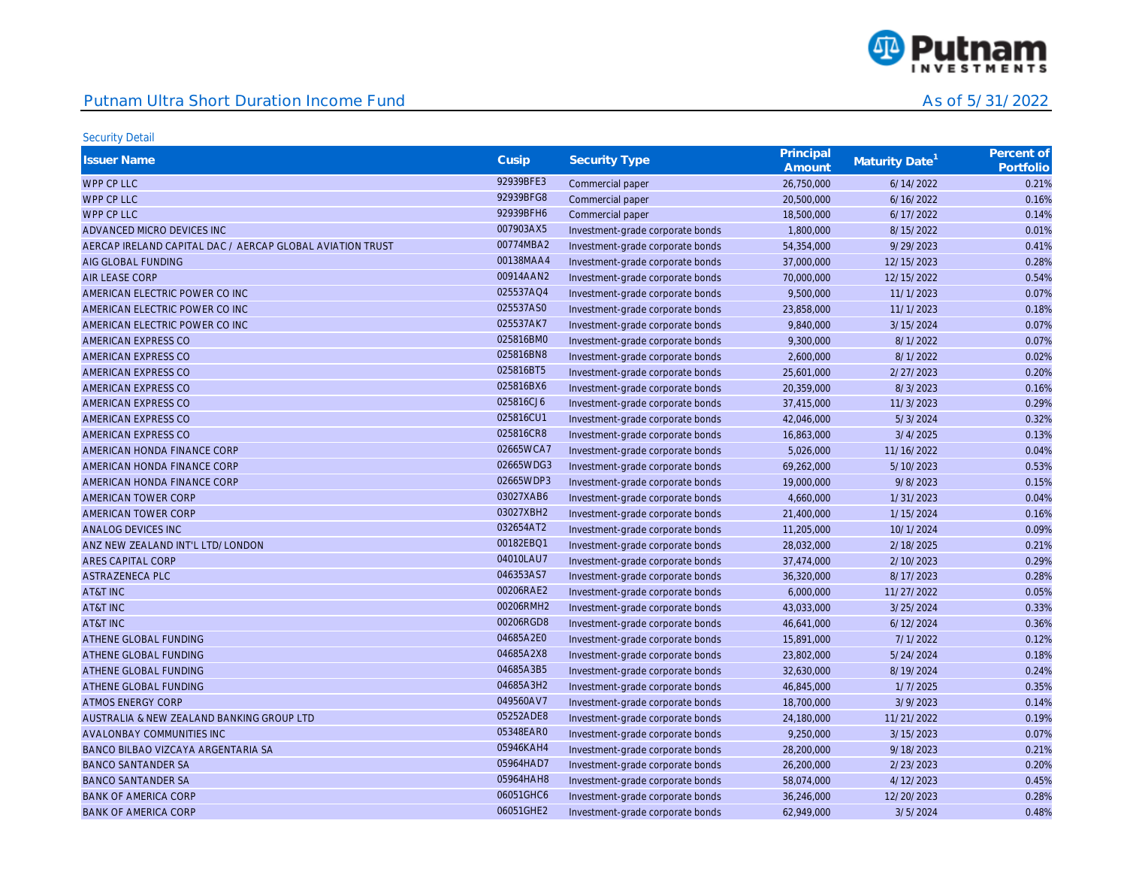

| <b>Issuer Name</b>                                        | Cusip     | <b>Security Type</b>             | Principal<br>Amount | Maturity Date <sup>1</sup> | Percent of<br>Portfolio |
|-----------------------------------------------------------|-----------|----------------------------------|---------------------|----------------------------|-------------------------|
| WPP CP LLC                                                | 92939BFE3 | Commercial paper                 | 26,750,000          | 6/14/2022                  | 0.21%                   |
| WPP CP LLC                                                | 92939BFG8 | Commercial paper                 | 20,500,000          | 6/16/2022                  | 0.16%                   |
| WPP CP LLC                                                | 92939BFH6 | Commercial paper                 | 18,500,000          | 6/17/2022                  | 0.14%                   |
| ADVANCED MICRO DEVICES INC                                | 007903AX5 | Investment-grade corporate bonds | 1,800,000           | 8/15/2022                  | 0.01%                   |
| AERCAP IRELAND CAPITAL DAC / AERCAP GLOBAL AVIATION TRUST | 00774MBA2 | Investment-grade corporate bonds | 54,354,000          | 9/29/2023                  | 0.41%                   |
| AIG GLOBAL FUNDING                                        | 00138MAA4 | Investment-grade corporate bonds | 37,000,000          | 12/15/2023                 | 0.28%                   |
| <b>AIR LEASE CORP</b>                                     | 00914AAN2 | Investment-grade corporate bonds | 70,000,000          | 12/15/2022                 | 0.54%                   |
| AMERICAN ELECTRIC POWER CO INC                            | 025537AQ4 | Investment-grade corporate bonds | 9,500,000           | 11/1/2023                  | 0.07%                   |
| AMERICAN ELECTRIC POWER CO INC                            | 025537AS0 | Investment-grade corporate bonds | 23,858,000          | 11/1/2023                  | 0.18%                   |
| AMERICAN ELECTRIC POWER CO INC                            | 025537AK7 | Investment-grade corporate bonds | 9,840,000           | 3/15/2024                  | 0.07%                   |
| AMERICAN EXPRESS CO                                       | 025816BM0 | Investment-grade corporate bonds | 9,300,000           | 8/1/2022                   | 0.07%                   |
| AMERICAN EXPRESS CO                                       | 025816BN8 | Investment-grade corporate bonds | 2,600,000           | 8/1/2022                   | 0.02%                   |
| AMERICAN EXPRESS CO                                       | 025816BT5 | Investment-grade corporate bonds | 25,601,000          | 2/27/2023                  | 0.20%                   |
| AMERICAN EXPRESS CO                                       | 025816BX6 | Investment-grade corporate bonds | 20,359,000          | 8/3/2023                   | 0.16%                   |
| AMERICAN EXPRESS CO                                       | 025816CJ6 | Investment-grade corporate bonds | 37,415,000          | 11/3/2023                  | 0.29%                   |
| AMERICAN EXPRESS CO                                       | 025816CU1 | Investment-grade corporate bonds | 42,046,000          | 5/3/2024                   | 0.32%                   |
| AMERICAN EXPRESS CO                                       | 025816CR8 | Investment-grade corporate bonds | 16,863,000          | 3/4/2025                   | 0.13%                   |
| AMERICAN HONDA FINANCE CORP                               | 02665WCA7 | Investment-grade corporate bonds | 5,026,000           | 11/16/2022                 | 0.04%                   |
| AMERICAN HONDA FINANCE CORP                               | 02665WDG3 | Investment-grade corporate bonds | 69,262,000          | 5/10/2023                  | 0.53%                   |
| AMERICAN HONDA FINANCE CORP                               | 02665WDP3 | Investment-grade corporate bonds | 19,000,000          | 9/8/2023                   | 0.15%                   |
| AMERICAN TOWER CORP                                       | 03027XAB6 | Investment-grade corporate bonds | 4,660,000           | 1/31/2023                  | 0.04%                   |
| AMERICAN TOWER CORP                                       | 03027XBH2 | Investment-grade corporate bonds | 21,400,000          | 1/15/2024                  | 0.16%                   |
| ANALOG DEVICES INC                                        | 032654AT2 | Investment-grade corporate bonds | 11,205,000          | 10/1/2024                  | 0.09%                   |
| ANZ NEW ZEALAND INT'L LTD/LONDON                          | 00182EBQ1 | Investment-grade corporate bonds | 28,032,000          | 2/18/2025                  | 0.21%                   |
| ARES CAPITAL CORP                                         | 04010LAU7 | Investment-grade corporate bonds | 37,474,000          | 2/10/2023                  | 0.29%                   |
| <b>ASTRAZENECA PLC</b>                                    | 046353AS7 | Investment-grade corporate bonds | 36,320,000          | 8/17/2023                  | 0.28%                   |
| AT&T INC                                                  | 00206RAE2 | Investment-grade corporate bonds | 6,000,000           | 11/27/2022                 | 0.05%                   |
| AT&T INC                                                  | 00206RMH2 | Investment-grade corporate bonds | 43,033,000          | 3/25/2024                  | 0.33%                   |
| AT&T INC                                                  | 00206RGD8 | Investment-grade corporate bonds | 46,641,000          | 6/12/2024                  | 0.36%                   |
| ATHENE GLOBAL FUNDING                                     | 04685A2E0 | Investment-grade corporate bonds | 15,891,000          | 7/1/2022                   | 0.12%                   |
| ATHENE GLOBAL FUNDING                                     | 04685A2X8 | Investment-grade corporate bonds | 23,802,000          | 5/24/2024                  | 0.18%                   |
| ATHENE GLOBAL FUNDING                                     | 04685A3B5 | Investment-grade corporate bonds | 32,630,000          | 8/19/2024                  | 0.24%                   |
| ATHENE GLOBAL FUNDING                                     | 04685A3H2 | Investment-grade corporate bonds | 46,845,000          | 1/7/2025                   | 0.35%                   |
| <b>ATMOS ENERGY CORP</b>                                  | 049560AV7 | Investment-grade corporate bonds | 18,700,000          | 3/9/2023                   | 0.14%                   |
| AUSTRALIA & NEW ZEALAND BANKING GROUP LTD                 | 05252ADE8 | Investment-grade corporate bonds | 24,180,000          | 11/21/2022                 | 0.19%                   |
| AVALONBAY COMMUNITIES INC                                 | 05348EAR0 | Investment-grade corporate bonds | 9,250,000           | 3/15/2023                  | 0.07%                   |
| BANCO BILBAO VIZCAYA ARGENTARIA SA                        | 05946KAH4 | Investment-grade corporate bonds | 28,200,000          | 9/18/2023                  | 0.21%                   |
| <b>BANCO SANTANDER SA</b>                                 | 05964HAD7 | Investment-grade corporate bonds | 26,200,000          | 2/23/2023                  | 0.20%                   |
| <b>BANCO SANTANDER SA</b>                                 | 05964HAH8 | Investment-grade corporate bonds | 58,074,000          | 4/12/2023                  | 0.45%                   |
| <b>BANK OF AMERICA CORP</b>                               | 06051GHC6 | Investment-grade corporate bonds | 36,246,000          | 12/20/2023                 | 0.28%                   |
| <b>BANK OF AMERICA CORP</b>                               | 06051GHE2 | Investment-grade corporate bonds | 62.949.000          | 3/5/2024                   | 0.48%                   |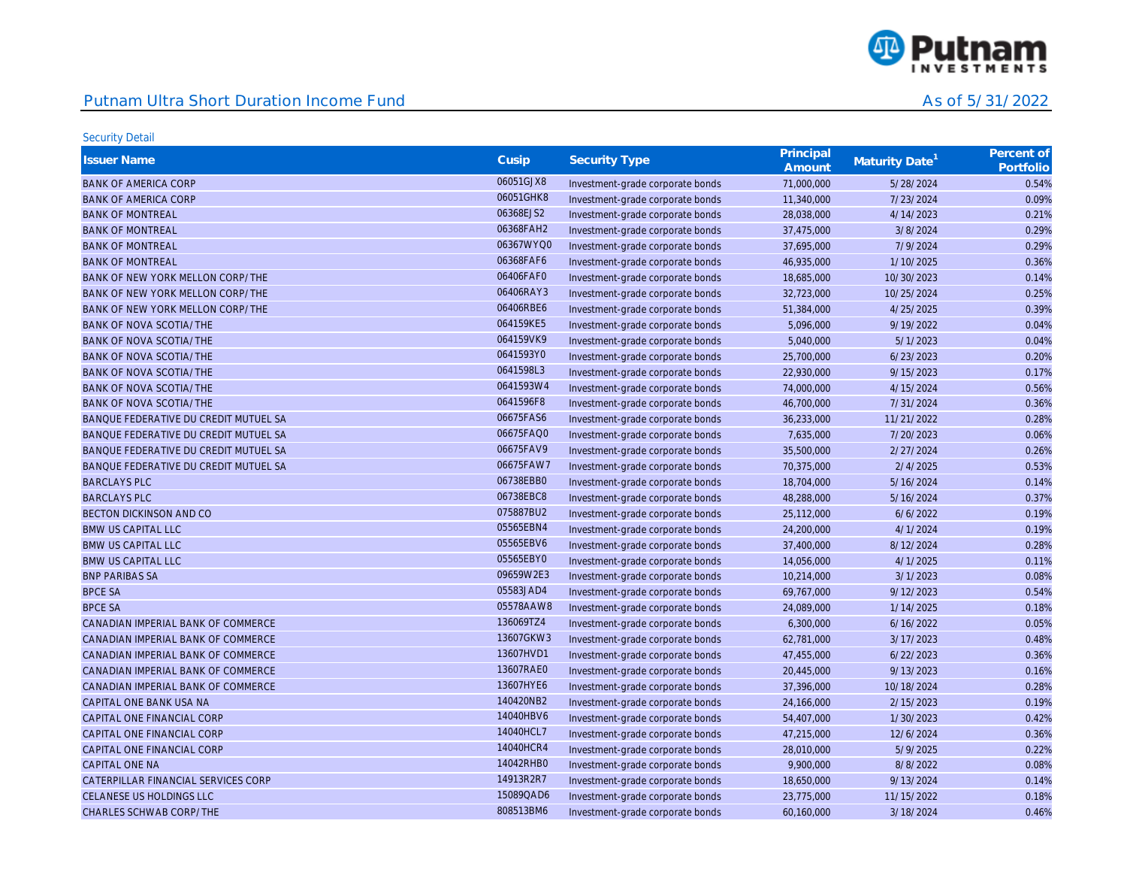

| <b>Issuer Name</b>                    | Cusip     | <b>Security Type</b>             | Principal<br>Amount | Maturity Date <sup>1</sup> | Percent of<br>Portfolio |
|---------------------------------------|-----------|----------------------------------|---------------------|----------------------------|-------------------------|
| <b>BANK OF AMERICA CORP</b>           | 06051GJX8 | Investment-grade corporate bonds | 71,000,000          | 5/28/2024                  | 0.54%                   |
| <b>BANK OF AMERICA CORP</b>           | 06051GHK8 | Investment-grade corporate bonds | 11,340,000          | 7/23/2024                  | 0.09%                   |
| <b>BANK OF MONTREAL</b>               | 06368EJS2 | Investment-grade corporate bonds | 28,038,000          | 4/14/2023                  | 0.21%                   |
| <b>BANK OF MONTREAL</b>               | 06368FAH2 | Investment-grade corporate bonds | 37,475,000          | 3/8/2024                   | 0.29%                   |
| <b>BANK OF MONTREAL</b>               | 06367WYQ0 | Investment-grade corporate bonds | 37,695,000          | 7/9/2024                   | 0.29%                   |
| <b>BANK OF MONTREAL</b>               | 06368FAF6 | Investment-grade corporate bonds | 46,935,000          | 1/10/2025                  | 0.36%                   |
| BANK OF NEW YORK MELLON CORP/THE      | 06406FAF0 | Investment-grade corporate bonds | 18,685,000          | 10/30/2023                 | 0.14%                   |
| BANK OF NEW YORK MELLON CORP/THE      | 06406RAY3 | Investment-grade corporate bonds | 32,723,000          | 10/25/2024                 | 0.25%                   |
| BANK OF NEW YORK MELLON CORP/THE      | 06406RBE6 | Investment-grade corporate bonds | 51,384,000          | 4/25/2025                  | 0.39%                   |
| <b>BANK OF NOVA SCOTIA/THE</b>        | 064159KE5 | Investment-grade corporate bonds | 5,096,000           | 9/19/2022                  | 0.04%                   |
| <b>BANK OF NOVA SCOTIA/THE</b>        | 064159VK9 | Investment-grade corporate bonds | 5,040,000           | 5/1/2023                   | 0.04%                   |
| BANK OF NOVA SCOTIA/THE               | 0641593Y0 | Investment-grade corporate bonds | 25,700,000          | 6/23/2023                  | 0.20%                   |
| <b>BANK OF NOVA SCOTIA/THE</b>        | 0641598L3 | Investment-grade corporate bonds | 22,930,000          | 9/15/2023                  | 0.17%                   |
| <b>BANK OF NOVA SCOTIA/THE</b>        | 0641593W4 | Investment-grade corporate bonds | 74,000,000          | 4/15/2024                  | 0.56%                   |
| <b>BANK OF NOVA SCOTIA/THE</b>        | 0641596F8 | Investment-grade corporate bonds | 46,700,000          | 7/31/2024                  | 0.36%                   |
| BANQUE FEDERATIVE DU CREDIT MUTUEL SA | 06675FAS6 | Investment-grade corporate bonds | 36,233,000          | 11/21/2022                 | 0.28%                   |
| BANQUE FEDERATIVE DU CREDIT MUTUEL SA | 06675FAQ0 | Investment-grade corporate bonds | 7,635,000           | 7/20/2023                  | 0.06%                   |
| BANQUE FEDERATIVE DU CREDIT MUTUEL SA | 06675FAV9 | Investment-grade corporate bonds | 35,500,000          | 2/27/2024                  | 0.26%                   |
| BANQUE FEDERATIVE DU CREDIT MUTUEL SA | 06675FAW7 | Investment-grade corporate bonds | 70,375,000          | 2/4/2025                   | 0.53%                   |
| <b>BARCLAYS PLC</b>                   | 06738EBB0 | Investment-grade corporate bonds | 18,704,000          | 5/16/2024                  | 0.14%                   |
| <b>BARCLAYS PLC</b>                   | 06738EBC8 | Investment-grade corporate bonds | 48,288,000          | 5/16/2024                  | 0.37%                   |
| BECTON DICKINSON AND CO               | 075887BU2 | Investment-grade corporate bonds | 25,112,000          | 6/6/2022                   | 0.19%                   |
| <b>BMW US CAPITAL LLC</b>             | 05565EBN4 | Investment-grade corporate bonds | 24,200,000          | 4/1/2024                   | 0.19%                   |
| <b>BMW US CAPITAL LLC</b>             | 05565EBV6 | Investment-grade corporate bonds | 37,400,000          | 8/12/2024                  | 0.28%                   |
| <b>BMW US CAPITAL LLC</b>             | 05565EBY0 | Investment-grade corporate bonds | 14,056,000          | 4/1/2025                   | 0.11%                   |
| <b>BNP PARIBAS SA</b>                 | 09659W2E3 | Investment-grade corporate bonds | 10,214,000          | 3/1/2023                   | 0.08%                   |
| <b>BPCE SA</b>                        | 05583JAD4 | Investment-grade corporate bonds | 69,767,000          | 9/12/2023                  | 0.54%                   |
| <b>BPCE SA</b>                        | 05578AAW8 | Investment-grade corporate bonds | 24,089,000          | 1/14/2025                  | 0.18%                   |
| CANADIAN IMPERIAL BANK OF COMMERCE    | 136069TZ4 | Investment-grade corporate bonds | 6,300,000           | 6/16/2022                  | 0.05%                   |
| CANADIAN IMPERIAL BANK OF COMMERCE    | 13607GKW3 | Investment-grade corporate bonds | 62,781,000          | 3/17/2023                  | 0.48%                   |
| CANADIAN IMPERIAL BANK OF COMMERCE    | 13607HVD1 | Investment-grade corporate bonds | 47,455,000          | 6/22/2023                  | 0.36%                   |
| CANADIAN IMPERIAL BANK OF COMMERCE    | 13607RAE0 | Investment-grade corporate bonds | 20,445,000          | 9/13/2023                  | 0.16%                   |
| CANADIAN IMPERIAL BANK OF COMMERCE    | 13607HYE6 | Investment-grade corporate bonds | 37,396,000          | 10/18/2024                 | 0.28%                   |
| CAPITAL ONE BANK USA NA               | 140420NB2 | Investment-grade corporate bonds | 24,166,000          | 2/15/2023                  | 0.19%                   |
| CAPITAL ONE FINANCIAL CORP            | 14040HBV6 | Investment-grade corporate bonds | 54,407,000          | 1/30/2023                  | 0.42%                   |
| CAPITAL ONE FINANCIAL CORP            | 14040HCL7 | Investment-grade corporate bonds | 47,215,000          | 12/6/2024                  | 0.36%                   |
| CAPITAL ONE FINANCIAL CORP            | 14040HCR4 | Investment-grade corporate bonds | 28,010,000          | 5/9/2025                   | 0.22%                   |
| <b>CAPITAL ONE NA</b>                 | 14042RHB0 | Investment-grade corporate bonds | 9,900,000           | 8/8/2022                   | 0.08%                   |
| CATERPILLAR FINANCIAL SERVICES CORP   | 14913R2R7 | Investment-grade corporate bonds | 18,650,000          | 9/13/2024                  | 0.14%                   |
| CELANESE US HOLDINGS LLC              | 15089QAD6 | Investment-grade corporate bonds | 23,775,000          | 11/15/2022                 | 0.18%                   |
| CHARLES SCHWAB CORP/THE               | 808513BM6 | Investment-grade corporate bonds | 60.160.000          | 3/18/2024                  | 0.46%                   |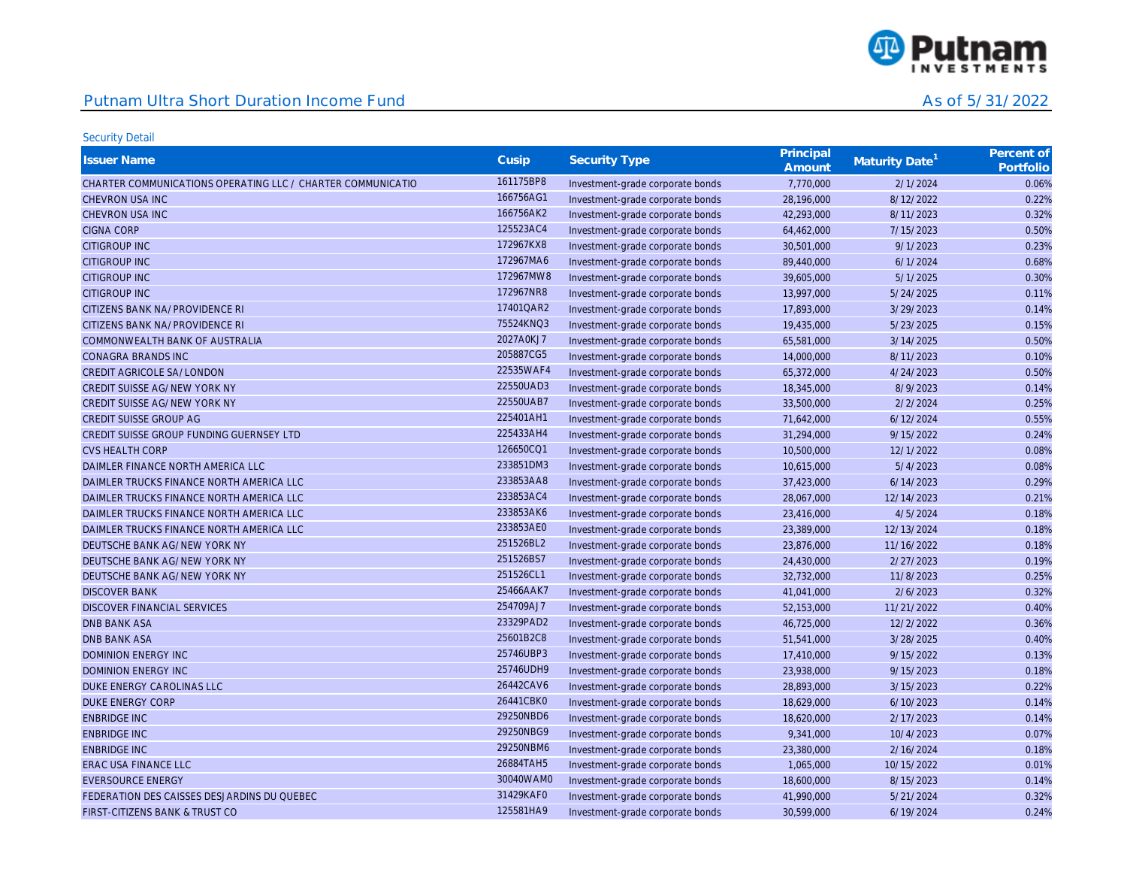

| <b>Issuer Name</b>                                          | Cusip     | <b>Security Type</b>             | Principal<br>Amount | Maturity Date <sup>1</sup> | Percent of<br>Portfolio |
|-------------------------------------------------------------|-----------|----------------------------------|---------------------|----------------------------|-------------------------|
| CHARTER COMMUNICATIONS OPERATING LLC / CHARTER COMMUNICATIO | 161175BP8 | Investment-grade corporate bonds | 7,770,000           | 2/1/2024                   | 0.06%                   |
| CHEVRON USA INC                                             | 166756AG1 | Investment-grade corporate bonds | 28,196,000          | 8/12/2022                  | 0.22%                   |
| CHEVRON USA INC                                             | 166756AK2 | Investment-grade corporate bonds | 42,293,000          | 8/11/2023                  | 0.32%                   |
| <b>CIGNA CORP</b>                                           | 125523AC4 | Investment-grade corporate bonds | 64,462,000          | 7/15/2023                  | 0.50%                   |
| <b>CITIGROUP INC</b>                                        | 172967KX8 | Investment-grade corporate bonds | 30,501,000          | 9/1/2023                   | 0.23%                   |
| <b>CITIGROUP INC</b>                                        | 172967MA6 | Investment-grade corporate bonds | 89,440,000          | 6/1/2024                   | 0.68%                   |
| <b>CITIGROUP INC</b>                                        | 172967MW8 | Investment-grade corporate bonds | 39,605,000          | 5/1/2025                   | 0.30%                   |
| <b>CITIGROUP INC</b>                                        | 172967NR8 | Investment-grade corporate bonds | 13,997,000          | 5/24/2025                  | 0.11%                   |
| CITIZENS BANK NA/PROVIDENCE RI                              | 17401QAR2 | Investment-grade corporate bonds | 17,893,000          | 3/29/2023                  | 0.14%                   |
| CITIZENS BANK NA/PROVIDENCE RI                              | 75524KNQ3 | Investment-grade corporate bonds | 19,435,000          | 5/23/2025                  | 0.15%                   |
| COMMONWEALTH BANK OF AUSTRALIA                              | 2027A0KJ7 | Investment-grade corporate bonds | 65,581,000          | 3/14/2025                  | 0.50%                   |
| CONAGRA BRANDS INC                                          | 205887CG5 | Investment-grade corporate bonds | 14,000,000          | 8/11/2023                  | 0.10%                   |
| CREDIT AGRICOLE SA/LONDON                                   | 22535WAF4 | Investment-grade corporate bonds | 65,372,000          | 4/24/2023                  | 0.50%                   |
| CREDIT SUISSE AG/NEW YORK NY                                | 22550UAD3 | Investment-grade corporate bonds | 18,345,000          | 8/9/2023                   | 0.14%                   |
| CREDIT SUISSE AG/NEW YORK NY                                | 22550UAB7 | Investment-grade corporate bonds | 33,500,000          | 2/2/2024                   | 0.25%                   |
| <b>CREDIT SUISSE GROUP AG</b>                               | 225401AH1 | Investment-grade corporate bonds | 71,642,000          | 6/12/2024                  | 0.55%                   |
| CREDIT SUISSE GROUP FUNDING GUERNSEY LTD                    | 225433AH4 | Investment-grade corporate bonds | 31,294,000          | 9/15/2022                  | 0.24%                   |
| <b>CVS HEALTH CORP</b>                                      | 126650CQ1 | Investment-grade corporate bonds | 10,500,000          | 12/1/2022                  | 0.08%                   |
| DAIMLER FINANCE NORTH AMERICA LLC                           | 233851DM3 | Investment-grade corporate bonds | 10,615,000          | 5/4/2023                   | 0.08%                   |
| DAIMLER TRUCKS FINANCE NORTH AMERICA LLC                    | 233853AA8 | Investment-grade corporate bonds | 37,423,000          | 6/14/2023                  | 0.29%                   |
| DAIMLER TRUCKS FINANCE NORTH AMERICA LLC                    | 233853AC4 | Investment-grade corporate bonds | 28,067,000          | 12/14/2023                 | 0.21%                   |
| DAIMLER TRUCKS FINANCE NORTH AMERICA LLC                    | 233853AK6 | Investment-grade corporate bonds | 23,416,000          | 4/5/2024                   | 0.18%                   |
| DAIMLER TRUCKS FINANCE NORTH AMERICA LLC                    | 233853AE0 | Investment-grade corporate bonds | 23,389,000          | 12/13/2024                 | 0.18%                   |
| DEUTSCHE BANK AG/NEW YORK NY                                | 251526BL2 | Investment-grade corporate bonds | 23,876,000          | 11/16/2022                 | 0.18%                   |
| DEUTSCHE BANK AG/NEW YORK NY                                | 251526BS7 | Investment-grade corporate bonds | 24,430,000          | 2/27/2023                  | 0.19%                   |
| DEUTSCHE BANK AG/NEW YORK NY                                | 251526CL1 | Investment-grade corporate bonds | 32,732,000          | 11/8/2023                  | 0.25%                   |
| <b>DISCOVER BANK</b>                                        | 25466AAK7 | Investment-grade corporate bonds | 41,041,000          | 2/6/2023                   | 0.32%                   |
| <b>DISCOVER FINANCIAL SERVICES</b>                          | 254709AJ7 | Investment-grade corporate bonds | 52,153,000          | 11/21/2022                 | 0.40%                   |
| <b>DNB BANK ASA</b>                                         | 23329PAD2 | Investment-grade corporate bonds | 46,725,000          | 12/2/2022                  | 0.36%                   |
| <b>DNB BANK ASA</b>                                         | 25601B2C8 | Investment-grade corporate bonds | 51,541,000          | 3/28/2025                  | 0.40%                   |
| <b>DOMINION ENERGY INC</b>                                  | 25746UBP3 | Investment-grade corporate bonds | 17,410,000          | 9/15/2022                  | 0.13%                   |
| <b>DOMINION ENERGY INC</b>                                  | 25746UDH9 | Investment-grade corporate bonds | 23,938,000          | 9/15/2023                  | 0.18%                   |
| DUKE ENERGY CAROLINAS LLC                                   | 26442CAV6 | Investment-grade corporate bonds | 28,893,000          | 3/15/2023                  | 0.22%                   |
| <b>DUKE ENERGY CORP</b>                                     | 26441CBK0 | Investment-grade corporate bonds | 18,629,000          | 6/10/2023                  | 0.14%                   |
| <b>ENBRIDGE INC</b>                                         | 29250NBD6 | Investment-grade corporate bonds | 18,620,000          | 2/17/2023                  | 0.14%                   |
| <b>ENBRIDGE INC</b>                                         | 29250NBG9 | Investment-grade corporate bonds | 9,341,000           | 10/4/2023                  | 0.07%                   |
| <b>ENBRIDGE INC</b>                                         | 29250NBM6 | Investment-grade corporate bonds | 23,380,000          | 2/16/2024                  | 0.18%                   |
| ERAC USA FINANCE LLC                                        | 26884TAH5 | Investment-grade corporate bonds | 1,065,000           | 10/15/2022                 | 0.01%                   |
| <b>EVERSOURCE ENERGY</b>                                    | 30040WAM0 | Investment-grade corporate bonds | 18,600,000          | 8/15/2023                  | 0.14%                   |
| FEDERATION DES CAISSES DESJARDINS DU QUEBEC                 | 31429KAF0 | Investment-grade corporate bonds | 41,990,000          | 5/21/2024                  | 0.32%                   |
| FIRST-CITIZENS BANK & TRUST CO                              | 125581HA9 | Investment-grade corporate bonds | 30.599.000          | 6/19/2024                  | 0.24%                   |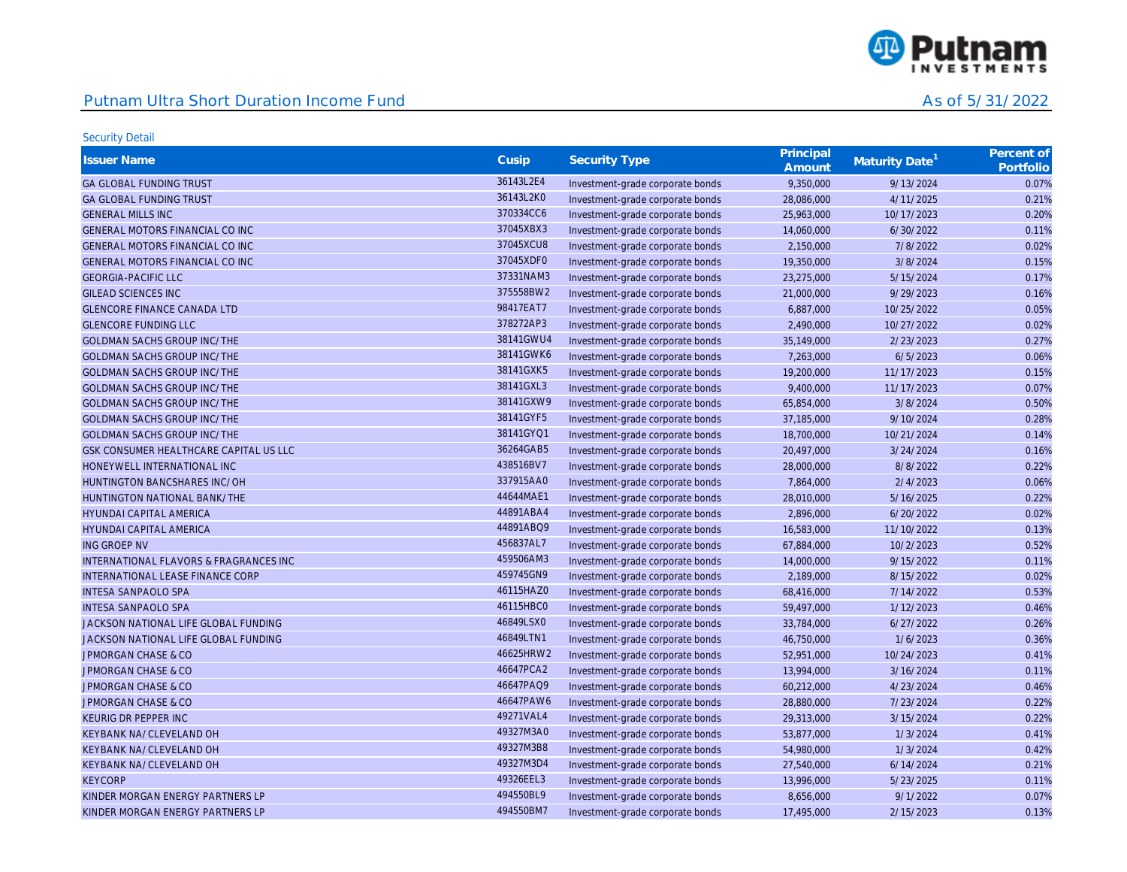

| <b>Issuer Name</b>                     | Cusip     | <b>Security Type</b>             | Principal<br>Amount | Maturity Date <sup>1</sup> | Percent of<br>Portfolio |
|----------------------------------------|-----------|----------------------------------|---------------------|----------------------------|-------------------------|
| <b>GA GLOBAL FUNDING TRUST</b>         | 36143L2E4 | Investment-grade corporate bonds | 9,350,000           | 9/13/2024                  | 0.07%                   |
| <b>GA GLOBAL FUNDING TRUST</b>         | 36143L2K0 | Investment-grade corporate bonds | 28,086,000          | 4/11/2025                  | 0.21%                   |
| <b>GENERAL MILLS INC</b>               | 370334CC6 | Investment-grade corporate bonds | 25,963,000          | 10/17/2023                 | 0.20%                   |
| GENERAL MOTORS FINANCIAL CO INC        | 37045XBX3 | Investment-grade corporate bonds | 14,060,000          | 6/30/2022                  | 0.11%                   |
| GENERAL MOTORS FINANCIAL CO INC        | 37045XCU8 | Investment-grade corporate bonds | 2,150,000           | 7/8/2022                   | 0.02%                   |
| GENERAL MOTORS FINANCIAL CO INC        | 37045XDF0 | Investment-grade corporate bonds | 19,350,000          | 3/8/2024                   | 0.15%                   |
| <b>GEORGIA-PACIFIC LLC</b>             | 37331NAM3 | Investment-grade corporate bonds | 23,275,000          | 5/15/2024                  | 0.17%                   |
| <b>GILEAD SCIENCES INC</b>             | 375558BW2 | Investment-grade corporate bonds | 21,000,000          | 9/29/2023                  | 0.16%                   |
| <b>GLENCORE FINANCE CANADA LTD</b>     | 98417EAT7 | Investment-grade corporate bonds | 6,887,000           | 10/25/2022                 | 0.05%                   |
| <b>GLENCORE FUNDING LLC</b>            | 378272AP3 | Investment-grade corporate bonds | 2,490,000           | 10/27/2022                 | 0.02%                   |
| <b>GOLDMAN SACHS GROUP INC/THE</b>     | 38141GWU4 | Investment-grade corporate bonds | 35,149,000          | 2/23/2023                  | 0.27%                   |
| <b>GOLDMAN SACHS GROUP INC/THE</b>     | 38141GWK6 | Investment-grade corporate bonds | 7,263,000           | 6/5/2023                   | 0.06%                   |
| <b>GOLDMAN SACHS GROUP INC/THE</b>     | 38141GXK5 | Investment-grade corporate bonds | 19,200,000          | 11/17/2023                 | 0.15%                   |
| <b>GOLDMAN SACHS GROUP INC/THE</b>     | 38141GXL3 | Investment-grade corporate bonds | 9,400,000           | 11/17/2023                 | 0.07%                   |
| <b>GOLDMAN SACHS GROUP INC/THE</b>     | 38141GXW9 | Investment-grade corporate bonds | 65,854,000          | 3/8/2024                   | 0.50%                   |
| <b>GOLDMAN SACHS GROUP INC/THE</b>     | 38141GYF5 | Investment-grade corporate bonds | 37,185,000          | 9/10/2024                  | 0.28%                   |
| <b>GOLDMAN SACHS GROUP INC/THE</b>     | 38141GYQ1 | Investment-grade corporate bonds | 18,700,000          | 10/21/2024                 | 0.14%                   |
| GSK CONSUMER HEALTHCARE CAPITAL US LLC | 36264GAB5 | Investment-grade corporate bonds | 20,497,000          | 3/24/2024                  | 0.16%                   |
| HONEYWELL INTERNATIONAL INC            | 438516BV7 | Investment-grade corporate bonds | 28,000,000          | 8/8/2022                   | 0.22%                   |
| HUNTINGTON BANCSHARES INC/OH           | 337915AA0 | Investment-grade corporate bonds | 7,864,000           | 2/4/2023                   | 0.06%                   |
| HUNTINGTON NATIONAL BANK/THE           | 44644MAE1 | Investment-grade corporate bonds | 28,010,000          | 5/16/2025                  | 0.22%                   |
| <b>HYUNDAI CAPITAL AMERICA</b>         | 44891ABA4 | Investment-grade corporate bonds | 2,896,000           | 6/20/2022                  | 0.02%                   |
| <b>HYUNDAI CAPITAL AMERICA</b>         | 44891ABQ9 | Investment-grade corporate bonds | 16,583,000          | 11/10/2022                 | 0.13%                   |
| <b>ING GROEP NV</b>                    | 456837AL7 | Investment-grade corporate bonds | 67,884,000          | 10/2/2023                  | 0.52%                   |
| INTERNATIONAL FLAVORS & FRAGRANCES INC | 459506AM3 | Investment-grade corporate bonds | 14,000,000          | 9/15/2022                  | 0.11%                   |
| INTERNATIONAL LEASE FINANCE CORP       | 459745GN9 | Investment-grade corporate bonds | 2,189,000           | 8/15/2022                  | 0.02%                   |
| <b>INTESA SANPAOLO SPA</b>             | 46115HAZ0 | Investment-grade corporate bonds | 68,416,000          | 7/14/2022                  | 0.53%                   |
| <b>INTESA SANPAOLO SPA</b>             | 46115HBC0 | Investment-grade corporate bonds | 59,497,000          | 1/12/2023                  | 0.46%                   |
| JACKSON NATIONAL LIFE GLOBAL FUNDING   | 46849LSX0 | Investment-grade corporate bonds | 33,784,000          | 6/27/2022                  | 0.26%                   |
| JACKSON NATIONAL LIFE GLOBAL FUNDING   | 46849LTN1 | Investment-grade corporate bonds | 46,750,000          | 1/6/2023                   | 0.36%                   |
| <b>JPMORGAN CHASE &amp; CO</b>         | 46625HRW2 | Investment-grade corporate bonds | 52,951,000          | 10/24/2023                 | 0.41%                   |
| <b>JPMORGAN CHASE &amp; CO</b>         | 46647PCA2 | Investment-grade corporate bonds | 13,994,000          | 3/16/2024                  | 0.11%                   |
| <b>JPMORGAN CHASE &amp; CO</b>         | 46647PAQ9 | Investment-grade corporate bonds | 60,212,000          | 4/23/2024                  | 0.46%                   |
| <b>JPMORGAN CHASE &amp; CO</b>         | 46647PAW6 | Investment-grade corporate bonds | 28,880,000          | 7/23/2024                  | 0.22%                   |
| KEURIG DR PEPPER INC                   | 49271VAL4 | Investment-grade corporate bonds | 29,313,000          | 3/15/2024                  | 0.22%                   |
| KEYBANK NA/CLEVELAND OH                | 49327M3A0 | Investment-grade corporate bonds | 53,877,000          | 1/3/2024                   | 0.41%                   |
| KEYBANK NA/CLEVELAND OH                | 49327M3B8 | Investment-grade corporate bonds | 54,980,000          | 1/3/2024                   | 0.42%                   |
| KEYBANK NA/CLEVELAND OH                | 49327M3D4 | Investment-grade corporate bonds | 27,540,000          | 6/14/2024                  | 0.21%                   |
| <b>KEYCORP</b>                         | 49326EEL3 | Investment-grade corporate bonds | 13,996,000          | 5/23/2025                  | 0.11%                   |
| KINDER MORGAN ENERGY PARTNERS LP       | 494550BL9 | Investment-grade corporate bonds | 8,656,000           | 9/1/2022                   | 0.07%                   |
| KINDER MORGAN ENERGY PARTNERS LP       | 494550BM7 | Investment-grade corporate bonds | 17,495,000          | 2/15/2023                  | 0.13%                   |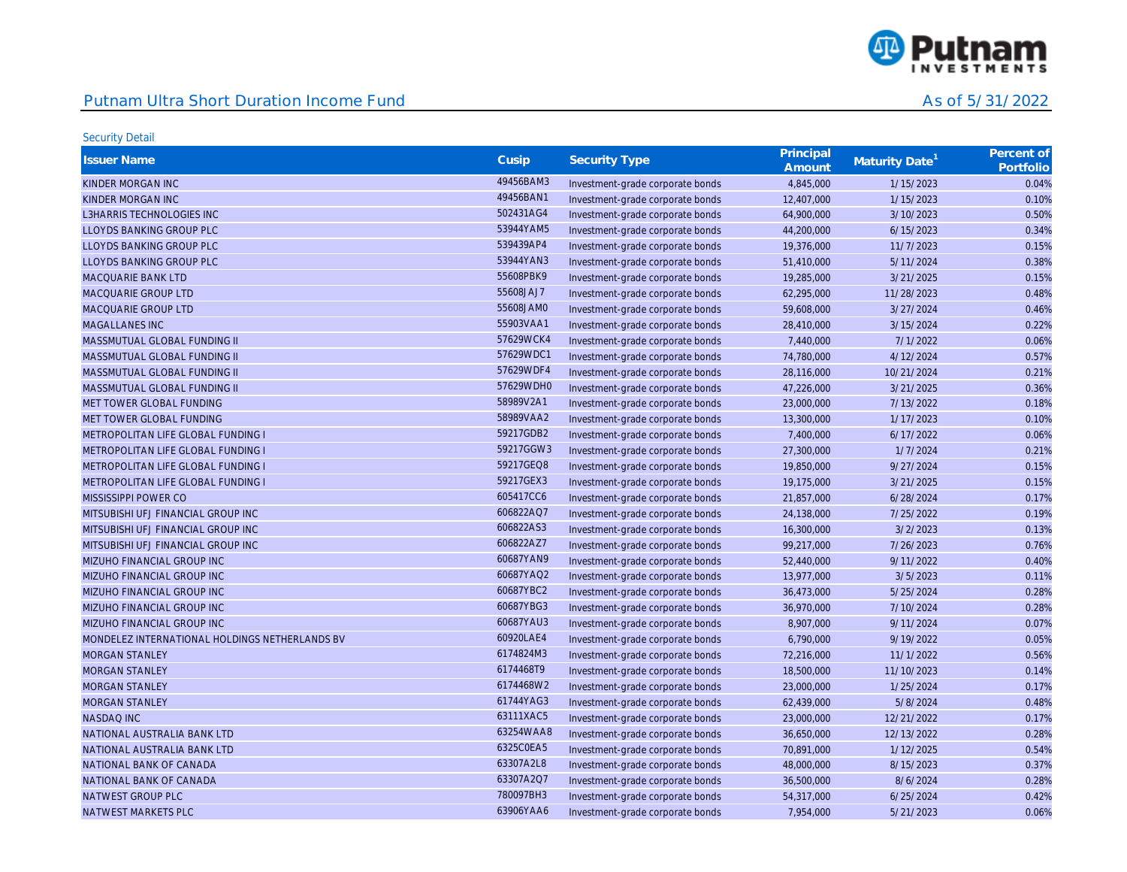

| <b>Issuer Name</b>                             | Cusip     | <b>Security Type</b>             | Principal<br>Amount | Maturity Date <sup>1</sup> | Percent of<br>Portfolio |
|------------------------------------------------|-----------|----------------------------------|---------------------|----------------------------|-------------------------|
| KINDER MORGAN INC                              | 49456BAM3 | Investment-grade corporate bonds | 4,845,000           | 1/15/2023                  | 0.04%                   |
| KINDER MORGAN INC                              | 49456BAN1 | Investment-grade corporate bonds | 12,407,000          | 1/15/2023                  | 0.10%                   |
| <b>L3HARRIS TECHNOLOGIES INC</b>               | 502431AG4 | Investment-grade corporate bonds | 64,900,000          | 3/10/2023                  | 0.50%                   |
| LLOYDS BANKING GROUP PLC                       | 53944YAM5 | Investment-grade corporate bonds | 44,200,000          | 6/15/2023                  | 0.34%                   |
| LLOYDS BANKING GROUP PLC                       | 539439AP4 | Investment-grade corporate bonds | 19,376,000          | 11/7/2023                  | 0.15%                   |
| LLOYDS BANKING GROUP PLC                       | 53944YAN3 | Investment-grade corporate bonds | 51,410,000          | 5/11/2024                  | 0.38%                   |
| MACQUARIE BANK LTD                             | 55608PBK9 | Investment-grade corporate bonds | 19,285,000          | 3/21/2025                  | 0.15%                   |
| MACQUARIE GROUP LTD                            | 55608JAJ7 | Investment-grade corporate bonds | 62,295,000          | 11/28/2023                 | 0.48%                   |
| <b>MACQUARIE GROUP LTD</b>                     | 55608JAM0 | Investment-grade corporate bonds | 59,608,000          | 3/27/2024                  | 0.46%                   |
| MAGALLANES INC                                 | 55903VAA1 | Investment-grade corporate bonds | 28,410,000          | 3/15/2024                  | 0.22%                   |
| MASSMUTUAL GLOBAL FUNDING II                   | 57629WCK4 | Investment-grade corporate bonds | 7,440,000           | 7/1/2022                   | 0.06%                   |
| MASSMUTUAL GLOBAL FUNDING II                   | 57629WDC1 | Investment-grade corporate bonds | 74,780,000          | 4/12/2024                  | 0.57%                   |
| MASSMUTUAL GLOBAL FUNDING II                   | 57629WDF4 | Investment-grade corporate bonds | 28,116,000          | 10/21/2024                 | 0.21%                   |
| MASSMUTUAL GLOBAL FUNDING II                   | 57629WDH0 | Investment-grade corporate bonds | 47,226,000          | 3/21/2025                  | 0.36%                   |
| MET TOWER GLOBAL FUNDING                       | 58989V2A1 | Investment-grade corporate bonds | 23,000,000          | 7/13/2022                  | 0.18%                   |
| MET TOWER GLOBAL FUNDING                       | 58989VAA2 | Investment-grade corporate bonds | 13,300,000          | 1/17/2023                  | 0.10%                   |
| METROPOLITAN LIFE GLOBAL FUNDING I             | 59217GDB2 | Investment-grade corporate bonds | 7,400,000           | 6/17/2022                  | 0.06%                   |
| METROPOLITAN LIFE GLOBAL FUNDING I             | 59217GGW3 | Investment-grade corporate bonds | 27,300,000          | 1/7/2024                   | 0.21%                   |
| METROPOLITAN LIFE GLOBAL FUNDING I             | 59217GEQ8 | Investment-grade corporate bonds | 19,850,000          | 9/27/2024                  | 0.15%                   |
| METROPOLITAN LIFE GLOBAL FUNDING I             | 59217GEX3 | Investment-grade corporate bonds | 19,175,000          | 3/21/2025                  | 0.15%                   |
| MISSISSIPPI POWER CO                           | 605417CC6 | Investment-grade corporate bonds | 21,857,000          | 6/28/2024                  | 0.17%                   |
| MITSUBISHI UFJ FINANCIAL GROUP INC             | 606822AQ7 | Investment-grade corporate bonds | 24,138,000          | 7/25/2022                  | 0.19%                   |
| MITSUBISHI UFJ FINANCIAL GROUP INC             | 606822AS3 | Investment-grade corporate bonds | 16,300,000          | 3/2/2023                   | 0.13%                   |
| MITSUBISHI UFJ FINANCIAL GROUP INC             | 606822AZ7 | Investment-grade corporate bonds | 99,217,000          | 7/26/2023                  | 0.76%                   |
| MIZUHO FINANCIAL GROUP INC                     | 60687YAN9 | Investment-grade corporate bonds | 52,440,000          | 9/11/2022                  | 0.40%                   |
| MIZUHO FINANCIAL GROUP INC                     | 60687YAQ2 | Investment-grade corporate bonds | 13,977,000          | 3/5/2023                   | 0.11%                   |
| MIZUHO FINANCIAL GROUP INC                     | 60687YBC2 | Investment-grade corporate bonds | 36,473,000          | 5/25/2024                  | 0.28%                   |
| MIZUHO FINANCIAL GROUP INC                     | 60687YBG3 | Investment-grade corporate bonds | 36,970,000          | 7/10/2024                  | 0.28%                   |
| MIZUHO FINANCIAL GROUP INC                     | 60687YAU3 | Investment-grade corporate bonds | 8,907,000           | 9/11/2024                  | 0.07%                   |
| MONDELEZ INTERNATIONAL HOLDINGS NETHERLANDS BV | 60920LAE4 | Investment-grade corporate bonds | 6,790,000           | 9/19/2022                  | 0.05%                   |
| <b>MORGAN STANLEY</b>                          | 6174824M3 | Investment-grade corporate bonds | 72,216,000          | 11/1/2022                  | 0.56%                   |
| <b>MORGAN STANLEY</b>                          | 6174468T9 | Investment-grade corporate bonds | 18,500,000          | 11/10/2023                 | 0.14%                   |
| <b>MORGAN STANLEY</b>                          | 6174468W2 | Investment-grade corporate bonds | 23,000,000          | 1/25/2024                  | 0.17%                   |
| <b>MORGAN STANLEY</b>                          | 61744YAG3 | Investment-grade corporate bonds | 62,439,000          | 5/8/2024                   | 0.48%                   |
| NASDAQ INC                                     | 63111XAC5 | Investment-grade corporate bonds | 23,000,000          | 12/21/2022                 | 0.17%                   |
| NATIONAL AUSTRALIA BANK LTD                    | 63254WAA8 | Investment-grade corporate bonds | 36,650,000          | 12/13/2022                 | 0.28%                   |
| NATIONAL AUSTRALIA BANK LTD                    | 6325C0EA5 | Investment-grade corporate bonds | 70,891,000          | 1/12/2025                  | 0.54%                   |
| NATIONAL BANK OF CANADA                        | 63307A2L8 | Investment-grade corporate bonds | 48,000,000          | 8/15/2023                  | 0.37%                   |
| NATIONAL BANK OF CANADA                        | 63307A2Q7 | Investment-grade corporate bonds | 36,500,000          | 8/6/2024                   | 0.28%                   |
| NATWEST GROUP PLC                              | 780097BH3 | Investment-grade corporate bonds | 54,317,000          | 6/25/2024                  | 0.42%                   |
| NATWEST MARKETS PLC                            | 63906YAA6 | Investment-grade corporate bonds | 7,954,000           | 5/21/2023                  | 0.06%                   |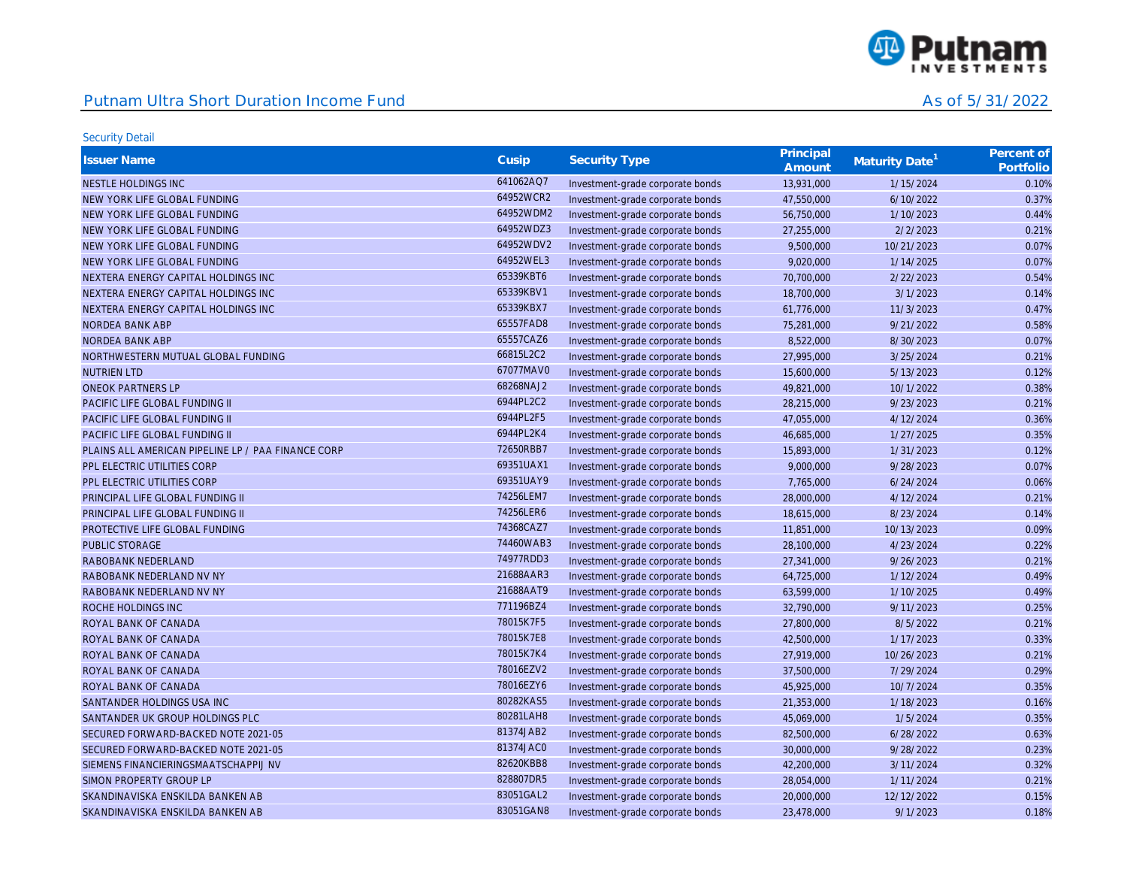

| <b>Issuer Name</b>                                 | Cusip     | <b>Security Type</b>             | Principal<br>Amount | Maturity Date <sup>1</sup> | Percent of<br>Portfolio |
|----------------------------------------------------|-----------|----------------------------------|---------------------|----------------------------|-------------------------|
| NESTLE HOLDINGS INC                                | 641062AQ7 | Investment-grade corporate bonds | 13,931,000          | 1/15/2024                  | 0.10%                   |
| NEW YORK LIFE GLOBAL FUNDING                       | 64952WCR2 | Investment-grade corporate bonds | 47,550,000          | 6/10/2022                  | 0.37%                   |
| NEW YORK LIFE GLOBAL FUNDING                       | 64952WDM2 | Investment-grade corporate bonds | 56,750,000          | 1/10/2023                  | 0.44%                   |
| NEW YORK LIFE GLOBAL FUNDING                       | 64952WDZ3 | Investment-grade corporate bonds | 27,255,000          | 2/2/2023                   | 0.21%                   |
| NEW YORK LIFE GLOBAL FUNDING                       | 64952WDV2 | Investment-grade corporate bonds | 9,500,000           | 10/21/2023                 | 0.07%                   |
| NEW YORK LIFE GLOBAL FUNDING                       | 64952WEL3 | Investment-grade corporate bonds | 9,020,000           | 1/14/2025                  | 0.07%                   |
| NEXTERA ENERGY CAPITAL HOLDINGS INC                | 65339KBT6 | Investment-grade corporate bonds | 70,700,000          | 2/22/2023                  | 0.54%                   |
| NEXTERA ENERGY CAPITAL HOLDINGS INC                | 65339KBV1 | Investment-grade corporate bonds | 18,700,000          | 3/1/2023                   | 0.14%                   |
| NEXTERA ENERGY CAPITAL HOLDINGS INC                | 65339KBX7 | Investment-grade corporate bonds | 61,776,000          | 11/3/2023                  | 0.47%                   |
| <b>NORDEA BANK ABP</b>                             | 65557FAD8 | Investment-grade corporate bonds | 75,281,000          | 9/21/2022                  | 0.58%                   |
| NORDEA BANK ABP                                    | 65557CAZ6 | Investment-grade corporate bonds | 8,522,000           | 8/30/2023                  | 0.07%                   |
| NORTHWESTERN MUTUAL GLOBAL FUNDING                 | 66815L2C2 | Investment-grade corporate bonds | 27,995,000          | 3/25/2024                  | 0.21%                   |
| <b>NUTRIEN LTD</b>                                 | 67077MAV0 | Investment-grade corporate bonds | 15,600,000          | 5/13/2023                  | 0.12%                   |
| <b>ONEOK PARTNERS LP</b>                           | 68268NAJ2 | Investment-grade corporate bonds | 49,821,000          | 10/1/2022                  | 0.38%                   |
| PACIFIC LIFE GLOBAL FUNDING II                     | 6944PL2C2 | Investment-grade corporate bonds | 28,215,000          | 9/23/2023                  | 0.21%                   |
| PACIFIC LIFE GLOBAL FUNDING II                     | 6944PL2F5 | Investment-grade corporate bonds | 47,055,000          | 4/12/2024                  | 0.36%                   |
| PACIFIC LIFE GLOBAL FUNDING II                     | 6944PL2K4 | Investment-grade corporate bonds | 46,685,000          | 1/27/2025                  | 0.35%                   |
| PLAINS ALL AMERICAN PIPELINE LP / PAA FINANCE CORP | 72650RBB7 | Investment-grade corporate bonds | 15,893,000          | 1/31/2023                  | 0.12%                   |
| PPL ELECTRIC UTILITIES CORP                        | 69351UAX1 | Investment-grade corporate bonds | 9,000,000           | 9/28/2023                  | 0.07%                   |
| PPL ELECTRIC UTILITIES CORP                        | 69351UAY9 | Investment-grade corporate bonds | 7,765,000           | 6/24/2024                  | 0.06%                   |
| PRINCIPAL LIFE GLOBAL FUNDING II                   | 74256LEM7 | Investment-grade corporate bonds | 28,000,000          | 4/12/2024                  | 0.21%                   |
| PRINCIPAL LIFE GLOBAL FUNDING II                   | 74256LER6 | Investment-grade corporate bonds | 18,615,000          | 8/23/2024                  | 0.14%                   |
| PROTECTIVE LIFE GLOBAL FUNDING                     | 74368CAZ7 | Investment-grade corporate bonds | 11,851,000          | 10/13/2023                 | 0.09%                   |
| <b>PUBLIC STORAGE</b>                              | 74460WAB3 | Investment-grade corporate bonds | 28,100,000          | 4/23/2024                  | 0.22%                   |
| RABOBANK NEDERLAND                                 | 74977RDD3 | Investment-grade corporate bonds | 27,341,000          | 9/26/2023                  | 0.21%                   |
| RABOBANK NEDERLAND NV NY                           | 21688AAR3 | Investment-grade corporate bonds | 64,725,000          | 1/12/2024                  | 0.49%                   |
| RABOBANK NEDERLAND NV NY                           | 21688AAT9 | Investment-grade corporate bonds | 63,599,000          | 1/10/2025                  | 0.49%                   |
| ROCHE HOLDINGS INC                                 | 771196BZ4 | Investment-grade corporate bonds | 32,790,000          | 9/11/2023                  | 0.25%                   |
| ROYAL BANK OF CANADA                               | 78015K7F5 | Investment-grade corporate bonds | 27,800,000          | 8/5/2022                   | 0.21%                   |
| ROYAL BANK OF CANADA                               | 78015K7E8 | Investment-grade corporate bonds | 42,500,000          | 1/17/2023                  | 0.33%                   |
| ROYAL BANK OF CANADA                               | 78015K7K4 | Investment-grade corporate bonds | 27,919,000          | 10/26/2023                 | 0.21%                   |
| ROYAL BANK OF CANADA                               | 78016EZV2 | Investment-grade corporate bonds | 37,500,000          | 7/29/2024                  | 0.29%                   |
| ROYAL BANK OF CANADA                               | 78016EZY6 | Investment-grade corporate bonds | 45,925,000          | 10/7/2024                  | 0.35%                   |
| SANTANDER HOLDINGS USA INC                         | 80282KAS5 | Investment-grade corporate bonds | 21,353,000          | 1/18/2023                  | 0.16%                   |
| SANTANDER UK GROUP HOLDINGS PLC                    | 80281LAH8 | Investment-grade corporate bonds | 45,069,000          | 1/5/2024                   | 0.35%                   |
| SECURED FORWARD-BACKED NOTE 2021-05                | 81374JAB2 | Investment-grade corporate bonds | 82,500,000          | 6/28/2022                  | 0.63%                   |
| SECURED FORWARD-BACKED NOTE 2021-05                | 81374JAC0 | Investment-grade corporate bonds | 30,000,000          | 9/28/2022                  | 0.23%                   |
| SIEMENS FINANCIERINGSMAATSCHAPPIJ NV               | 82620KBB8 | Investment-grade corporate bonds | 42,200,000          | 3/11/2024                  | 0.32%                   |
| SIMON PROPERTY GROUP LP                            | 828807DR5 | Investment-grade corporate bonds | 28,054,000          | 1/11/2024                  | 0.21%                   |
| SKANDINAVISKA ENSKILDA BANKEN AB                   | 83051GAL2 | Investment-grade corporate bonds | 20,000,000          | 12/12/2022                 | 0.15%                   |
| SKANDINAVISKA ENSKILDA BANKEN AB                   | 83051GAN8 | Investment-grade corporate bonds | 23,478,000          | 9/1/2023                   | 0.18%                   |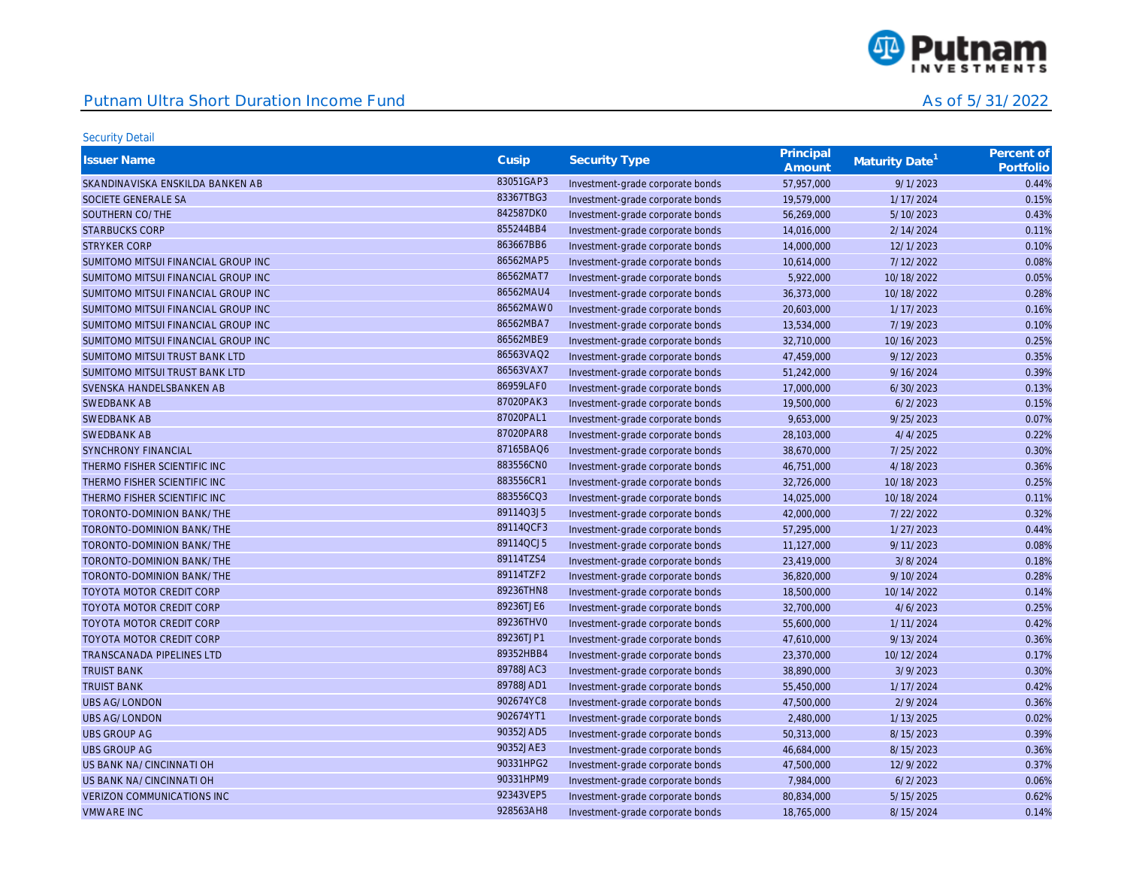

| <b>Issuer Name</b>                  | Cusip     | <b>Security Type</b>             | Principal<br>Amount | Maturity Date <sup>1</sup> | Percent of<br>Portfolio |
|-------------------------------------|-----------|----------------------------------|---------------------|----------------------------|-------------------------|
| SKANDINAVISKA ENSKILDA BANKEN AB    | 83051GAP3 | Investment-grade corporate bonds | 57,957,000          | 9/1/2023                   | 0.44%                   |
| SOCIETE GENERALE SA                 | 83367TBG3 | Investment-grade corporate bonds | 19,579,000          | 1/17/2024                  | 0.15%                   |
| SOUTHERN CO/THE                     | 842587DK0 | Investment-grade corporate bonds | 56,269,000          | 5/10/2023                  | 0.43%                   |
| <b>STARBUCKS CORP</b>               | 855244BB4 | Investment-grade corporate bonds | 14,016,000          | 2/14/2024                  | 0.11%                   |
| <b>STRYKER CORP</b>                 | 863667BB6 | Investment-grade corporate bonds | 14,000,000          | 12/1/2023                  | 0.10%                   |
| SUMITOMO MITSUI FINANCIAL GROUP INC | 86562MAP5 | Investment-grade corporate bonds | 10,614,000          | 7/12/2022                  | 0.08%                   |
| SUMITOMO MITSUI FINANCIAL GROUP INC | 86562MAT7 | Investment-grade corporate bonds | 5,922,000           | 10/18/2022                 | 0.05%                   |
| SUMITOMO MITSUI FINANCIAL GROUP INC | 86562MAU4 | Investment-grade corporate bonds | 36,373,000          | 10/18/2022                 | 0.28%                   |
| SUMITOMO MITSUI FINANCIAL GROUP INC | 86562MAW0 | Investment-grade corporate bonds | 20,603,000          | 1/17/2023                  | 0.16%                   |
| SUMITOMO MITSUI FINANCIAL GROUP INC | 86562MBA7 | Investment-grade corporate bonds | 13,534,000          | 7/19/2023                  | 0.10%                   |
| SUMITOMO MITSUI FINANCIAL GROUP INC | 86562MBE9 | Investment-grade corporate bonds | 32,710,000          | 10/16/2023                 | 0.25%                   |
| SUMITOMO MITSUI TRUST BANK LTD      | 86563VAQ2 | Investment-grade corporate bonds | 47,459,000          | 9/12/2023                  | 0.35%                   |
| SUMITOMO MITSUI TRUST BANK LTD      | 86563VAX7 | Investment-grade corporate bonds | 51,242,000          | 9/16/2024                  | 0.39%                   |
| SVENSKA HANDELSBANKEN AB            | 86959LAF0 | Investment-grade corporate bonds | 17,000,000          | 6/30/2023                  | 0.13%                   |
| <b>SWEDBANK AB</b>                  | 87020PAK3 | Investment-grade corporate bonds | 19,500,000          | 6/2/2023                   | 0.15%                   |
| <b>SWEDBANK AB</b>                  | 87020PAL1 | Investment-grade corporate bonds | 9,653,000           | 9/25/2023                  | 0.07%                   |
| SWEDBANK AB                         | 87020PAR8 | Investment-grade corporate bonds | 28,103,000          | 4/4/2025                   | 0.22%                   |
| <b>SYNCHRONY FINANCIAL</b>          | 87165BAQ6 | Investment-grade corporate bonds | 38,670,000          | 7/25/2022                  | 0.30%                   |
| THERMO FISHER SCIENTIFIC INC        | 883556CN0 | Investment-grade corporate bonds | 46,751,000          | 4/18/2023                  | 0.36%                   |
| THERMO FISHER SCIENTIFIC INC        | 883556CR1 | Investment-grade corporate bonds | 32,726,000          | 10/18/2023                 | 0.25%                   |
| THERMO FISHER SCIENTIFIC INC        | 883556CQ3 | Investment-grade corporate bonds | 14,025,000          | 10/18/2024                 | 0.11%                   |
| TORONTO-DOMINION BANK/THE           | 89114Q3J5 | Investment-grade corporate bonds | 42,000,000          | 7/22/2022                  | 0.32%                   |
| TORONTO-DOMINION BANK/THE           | 89114QCF3 | Investment-grade corporate bonds | 57,295,000          | 1/27/2023                  | 0.44%                   |
| TORONTO-DOMINION BANK/THE           | 89114QCJ5 | Investment-grade corporate bonds | 11,127,000          | 9/11/2023                  | 0.08%                   |
| TORONTO-DOMINION BANK/THE           | 89114TZS4 | Investment-grade corporate bonds | 23,419,000          | 3/8/2024                   | 0.18%                   |
| TORONTO-DOMINION BANK/THE           | 89114TZF2 | Investment-grade corporate bonds | 36,820,000          | 9/10/2024                  | 0.28%                   |
| TOYOTA MOTOR CREDIT CORP            | 89236THN8 | Investment-grade corporate bonds | 18,500,000          | 10/14/2022                 | 0.14%                   |
| TOYOTA MOTOR CREDIT CORP            | 89236TJE6 | Investment-grade corporate bonds | 32,700,000          | 4/6/2023                   | 0.25%                   |
| TOYOTA MOTOR CREDIT CORP            | 89236THV0 | Investment-grade corporate bonds | 55,600,000          | 1/11/2024                  | 0.42%                   |
| TOYOTA MOTOR CREDIT CORP            | 89236TJP1 | Investment-grade corporate bonds | 47,610,000          | 9/13/2024                  | 0.36%                   |
| <b>TRANSCANADA PIPELINES LTD</b>    | 89352HBB4 | Investment-grade corporate bonds | 23,370,000          | 10/12/2024                 | 0.17%                   |
| <b>TRUIST BANK</b>                  | 89788JAC3 | Investment-grade corporate bonds | 38,890,000          | 3/9/2023                   | 0.30%                   |
| <b>TRUIST BANK</b>                  | 89788JAD1 | Investment-grade corporate bonds | 55,450,000          | 1/17/2024                  | 0.42%                   |
| <b>UBS AG/LONDON</b>                | 902674YC8 | Investment-grade corporate bonds | 47,500,000          | 2/9/2024                   | 0.36%                   |
| <b>UBS AG/LONDON</b>                | 902674YT1 | Investment-grade corporate bonds | 2,480,000           | 1/13/2025                  | 0.02%                   |
| <b>UBS GROUP AG</b>                 | 90352JAD5 | Investment-grade corporate bonds | 50,313,000          | 8/15/2023                  | 0.39%                   |
| <b>UBS GROUP AG</b>                 | 90352JAE3 | Investment-grade corporate bonds | 46,684,000          | 8/15/2023                  | 0.36%                   |
| US BANK NA/CINCINNATI OH            | 90331HPG2 | Investment-grade corporate bonds | 47,500,000          | 12/9/2022                  | 0.37%                   |
| US BANK NA/CINCINNATI OH            | 90331HPM9 | Investment-grade corporate bonds | 7,984,000           | 6/2/2023                   | 0.06%                   |
| <b>VERIZON COMMUNICATIONS INC</b>   | 92343VEP5 | Investment-grade corporate bonds | 80,834,000          | 5/15/2025                  | 0.62%                   |
| <b>VMWARE INC</b>                   | 928563AH8 | Investment-grade corporate bonds | 18,765,000          | 8/15/2024                  | 0.14%                   |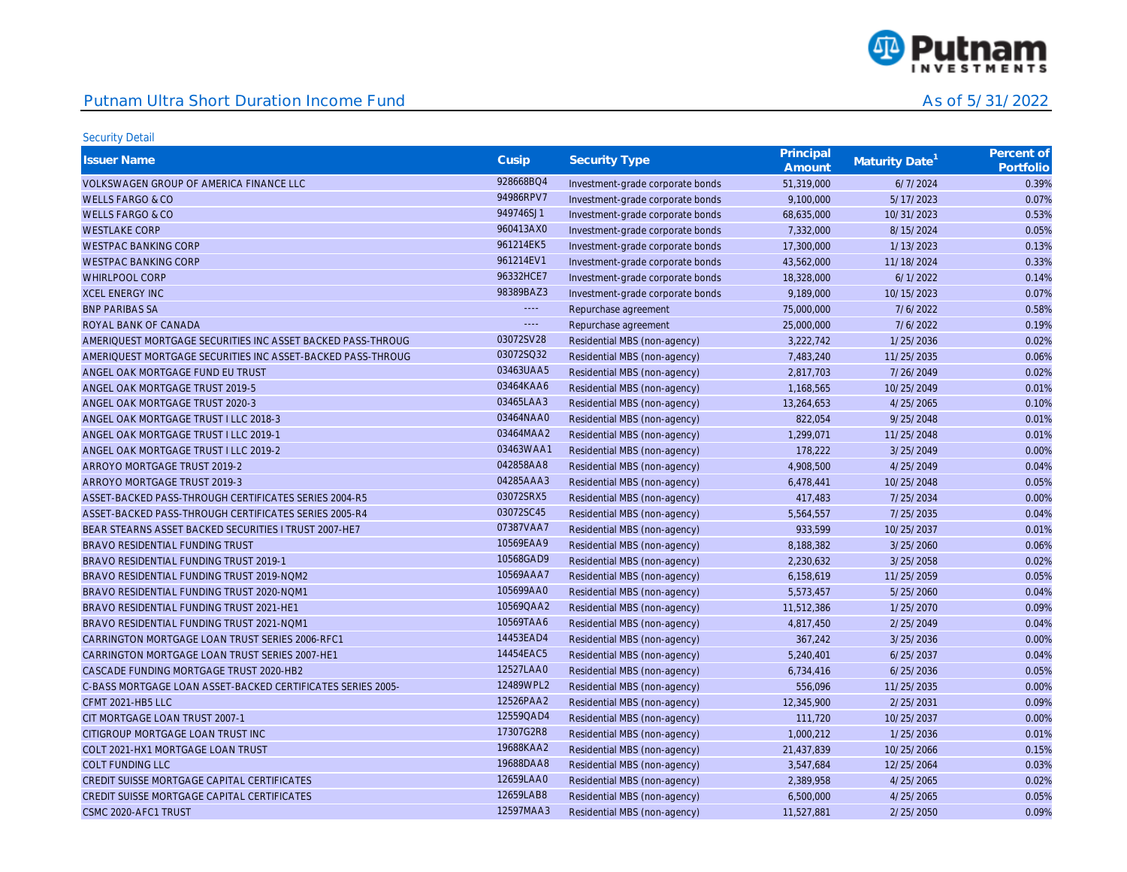

| <b>Issuer Name</b>                                          | Cusip     | <b>Security Type</b>             | Principal<br>Amount | Maturity Date | Percent of<br>Portfolio |
|-------------------------------------------------------------|-----------|----------------------------------|---------------------|---------------|-------------------------|
| VOLKSWAGEN GROUP OF AMERICA FINANCE LLC                     | 928668BQ4 | Investment-grade corporate bonds | 51,319,000          | 6/7/2024      | 0.39%                   |
| <b>WELLS FARGO &amp; CO</b>                                 | 94986RPV7 | Investment-grade corporate bonds | 9,100,000           | 5/17/2023     | 0.07%                   |
| <b>WELLS FARGO &amp; CO</b>                                 | 949746SJ1 | Investment-grade corporate bonds | 68,635,000          | 10/31/2023    | 0.53%                   |
| <b>WESTLAKE CORP</b>                                        | 960413AX0 | Investment-grade corporate bonds | 7,332,000           | 8/15/2024     | 0.05%                   |
| <b>WESTPAC BANKING CORP</b>                                 | 961214EK5 | Investment-grade corporate bonds | 17,300,000          | 1/13/2023     | 0.13%                   |
| <b>WESTPAC BANKING CORP</b>                                 | 961214EV1 | Investment-grade corporate bonds | 43,562,000          | 11/18/2024    | 0.33%                   |
| WHIRLPOOL CORP                                              | 96332HCE7 | Investment-grade corporate bonds | 18,328,000          | 6/1/2022      | 0.14%                   |
| <b>XCEL ENERGY INC</b>                                      | 98389BAZ3 | Investment-grade corporate bonds | 9,189,000           | 10/15/2023    | 0.07%                   |
| <b>BNP PARIBAS SA</b>                                       | $\cdots$  | Repurchase agreement             | 75,000,000          | 7/6/2022      | 0.58%                   |
| ROYAL BANK OF CANADA                                        | $\Box$    | Repurchase agreement             | 25,000,000          | 7/6/2022      | 0.19%                   |
| AMERIQUEST MORTGAGE SECURITIES INC ASSET BACKED PASS-THROUG | 03072SV28 | Residential MBS (non-agency)     | 3,222,742           | 1/25/2036     | 0.02%                   |
| AMERIQUEST MORTGAGE SECURITIES INC ASSET-BACKED PASS-THROUG | 03072SQ32 | Residential MBS (non-agency)     | 7,483,240           | 11/25/2035    | 0.06%                   |
| ANGEL OAK MORTGAGE FUND EU TRUST                            | 03463UAA5 | Residential MBS (non-agency)     | 2,817,703           | 7/26/2049     | 0.02%                   |
| ANGEL OAK MORTGAGE TRUST 2019-5                             | 03464KAA6 | Residential MBS (non-agency)     | 1,168,565           | 10/25/2049    | 0.01%                   |
| ANGEL OAK MORTGAGE TRUST 2020-3                             | 03465LAA3 | Residential MBS (non-agency)     | 13,264,653          | 4/25/2065     | 0.10%                   |
| ANGEL OAK MORTGAGE TRUST I LLC 2018-3                       | 03464NAA0 | Residential MBS (non-agency)     | 822,054             | 9/25/2048     | 0.01%                   |
| ANGEL OAK MORTGAGE TRUST I LLC 2019-1                       | 03464MAA2 | Residential MBS (non-agency)     | 1,299,071           | 11/25/2048    | 0.01%                   |
| ANGEL OAK MORTGAGE TRUST I LLC 2019-2                       | 03463WAA1 | Residential MBS (non-agency)     | 178,222             | 3/25/2049     | 0.00%                   |
| ARROYO MORTGAGE TRUST 2019-2                                | 042858AA8 | Residential MBS (non-agency)     | 4,908,500           | 4/25/2049     | 0.04%                   |
| ARROYO MORTGAGE TRUST 2019-3                                | 04285AAA3 | Residential MBS (non-agency)     | 6,478,441           | 10/25/2048    | 0.05%                   |
| ASSET-BACKED PASS-THROUGH CERTIFICATES SERIES 2004-R5       | 03072SRX5 | Residential MBS (non-agency)     | 417,483             | 7/25/2034     | 0.00%                   |
| ASSET-BACKED PASS-THROUGH CERTIFICATES SERIES 2005-R4       | 03072SC45 | Residential MBS (non-agency)     | 5,564,557           | 7/25/2035     | 0.04%                   |
| BEAR STEARNS ASSET BACKED SECURITIES I TRUST 2007-HE7       | 07387VAA7 | Residential MBS (non-agency)     | 933,599             | 10/25/2037    | 0.01%                   |
| <b>BRAVO RESIDENTIAL FUNDING TRUST</b>                      | 10569EAA9 | Residential MBS (non-agency)     | 8,188,382           | 3/25/2060     | 0.06%                   |
| BRAVO RESIDENTIAL FUNDING TRUST 2019-1                      | 10568GAD9 | Residential MBS (non-agency)     | 2,230,632           | 3/25/2058     | 0.02%                   |
| BRAVO RESIDENTIAL FUNDING TRUST 2019-NOM2                   | 10569AAA7 | Residential MBS (non-agency)     | 6,158,619           | 11/25/2059    | 0.05%                   |
| BRAVO RESIDENTIAL FUNDING TRUST 2020-NOM1                   | 105699AA0 | Residential MBS (non-agency)     | 5,573,457           | 5/25/2060     | 0.04%                   |
| BRAVO RESIDENTIAL FUNDING TRUST 2021-HE1                    | 10569QAA2 | Residential MBS (non-agency)     | 11,512,386          | 1/25/2070     | 0.09%                   |
| BRAVO RESIDENTIAL FUNDING TRUST 2021-NOM1                   | 10569TAA6 | Residential MBS (non-agency)     | 4,817,450           | 2/25/2049     | 0.04%                   |
| CARRINGTON MORTGAGE LOAN TRUST SERIES 2006-RFC1             | 14453EAD4 | Residential MBS (non-agency)     | 367,242             | 3/25/2036     | 0.00%                   |
| CARRINGTON MORTGAGE LOAN TRUST SERIES 2007-HE1              | 14454EAC5 | Residential MBS (non-agency)     | 5,240,401           | 6/25/2037     | 0.04%                   |
| CASCADE FUNDING MORTGAGE TRUST 2020-HB2                     | 12527LAA0 | Residential MBS (non-agency)     | 6,734,416           | 6/25/2036     | 0.05%                   |
| C-BASS MORTGAGE LOAN ASSET-BACKED CERTIFICATES SERIES 2005- | 12489WPL2 | Residential MBS (non-agency)     | 556,096             | 11/25/2035    | 0.00%                   |
| CFMT 2021-HB5 LLC                                           | 12526PAA2 | Residential MBS (non-agency)     | 12,345,900          | 2/25/2031     | 0.09%                   |
| CIT MORTGAGE LOAN TRUST 2007-1                              | 12559QAD4 | Residential MBS (non-agency)     | 111,720             | 10/25/2037    | 0.00%                   |
| CITIGROUP MORTGAGE LOAN TRUST INC                           | 17307G2R8 | Residential MBS (non-agency)     | 1,000,212           | 1/25/2036     | 0.01%                   |
| COLT 2021-HX1 MORTGAGE LOAN TRUST                           | 19688KAA2 | Residential MBS (non-agency)     | 21,437,839          | 10/25/2066    | 0.15%                   |
| <b>COLT FUNDING LLC</b>                                     | 19688DAA8 | Residential MBS (non-agency)     | 3,547,684           | 12/25/2064    | 0.03%                   |
| CREDIT SUISSE MORTGAGE CAPITAL CERTIFICATES                 | 12659LAA0 | Residential MBS (non-agency)     | 2,389,958           | 4/25/2065     | 0.02%                   |
| CREDIT SUISSE MORTGAGE CAPITAL CERTIFICATES                 | 12659LAB8 | Residential MBS (non-agency)     | 6,500,000           | 4/25/2065     | 0.05%                   |
| CSMC 2020-AFC1 TRUST                                        | 12597MAA3 | Residential MBS (non-agency)     | 11,527,881          | 2/25/2050     | 0.09%                   |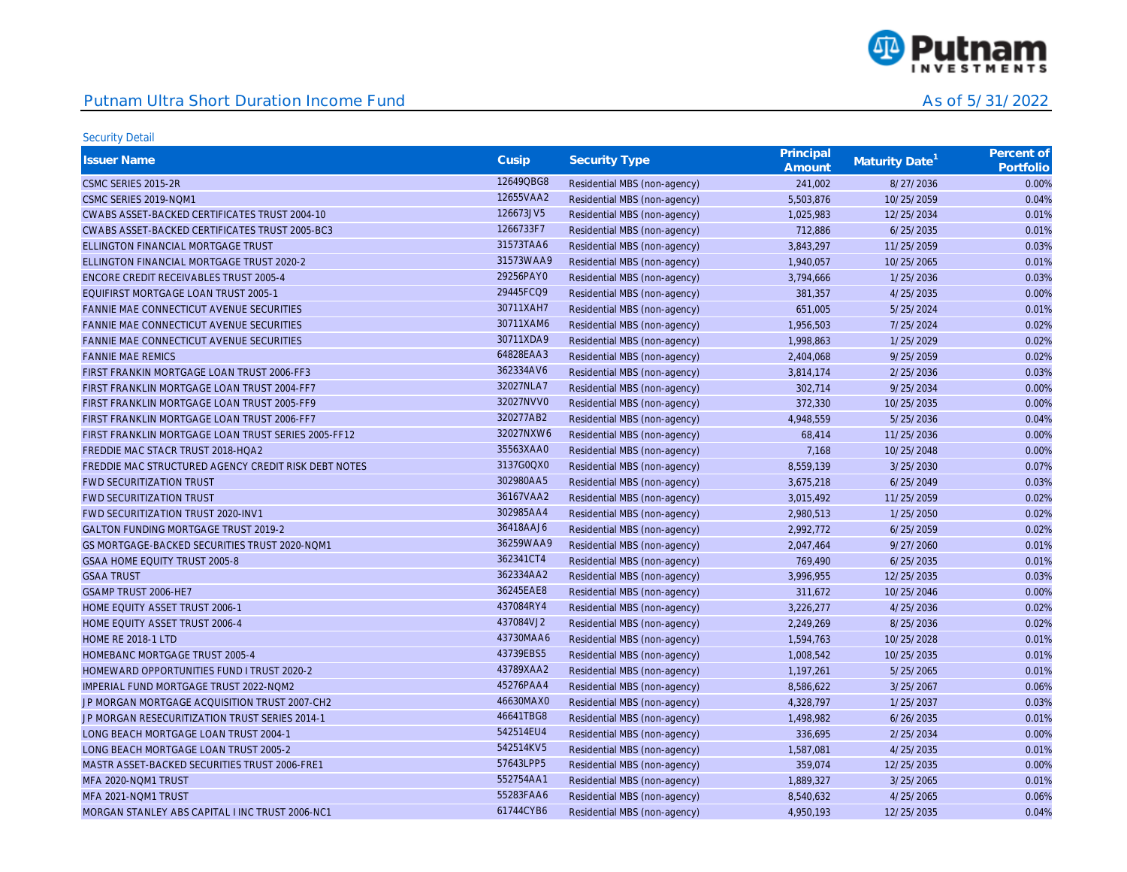

| <b>Issuer Name</b>                                   | Cusip     | <b>Security Type</b>         | Principal<br>Amount | Maturity Date <sup>1</sup> | Percent of<br>Portfolio |
|------------------------------------------------------|-----------|------------------------------|---------------------|----------------------------|-------------------------|
| CSMC SERIES 2015-2R                                  | 12649QBG8 | Residential MBS (non-agency) | 241,002             | 8/27/2036                  | 0.00%                   |
| CSMC SERIES 2019-NOM1                                | 12655VAA2 | Residential MBS (non-agency) | 5,503,876           | 10/25/2059                 | 0.04%                   |
| CWABS ASSET-BACKED CERTIFICATES TRUST 2004-10        | 126673JV5 | Residential MBS (non-agency) | 1,025,983           | 12/25/2034                 | 0.01%                   |
| CWABS ASSET-BACKED CERTIFICATES TRUST 2005-BC3       | 1266733F7 | Residential MBS (non-agency) | 712,886             | 6/25/2035                  | 0.01%                   |
| ELLINGTON FINANCIAL MORTGAGE TRUST                   | 31573TAA6 | Residential MBS (non-agency) | 3,843,297           | 11/25/2059                 | 0.03%                   |
| ELLINGTON FINANCIAL MORTGAGE TRUST 2020-2            | 31573WAA9 | Residential MBS (non-agency) | 1,940,057           | 10/25/2065                 | 0.01%                   |
| ENCORE CREDIT RECEIVABLES TRUST 2005-4               | 29256PAY0 | Residential MBS (non-agency) | 3,794,666           | 1/25/2036                  | 0.03%                   |
| EQUIFIRST MORTGAGE LOAN TRUST 2005-1                 | 29445FCQ9 | Residential MBS (non-agency) | 381,357             | 4/25/2035                  | 0.00%                   |
| FANNIE MAE CONNECTICUT AVENUE SECURITIES             | 30711XAH7 | Residential MBS (non-agency) | 651,005             | 5/25/2024                  | 0.01%                   |
| FANNIE MAE CONNECTICUT AVENUE SECURITIES             | 30711XAM6 | Residential MBS (non-agency) | 1,956,503           | 7/25/2024                  | 0.02%                   |
| FANNIE MAE CONNECTICUT AVENUE SECURITIES             | 30711XDA9 | Residential MBS (non-agency) | 1,998,863           | 1/25/2029                  | 0.02%                   |
| <b>FANNIE MAE REMICS</b>                             | 64828EAA3 | Residential MBS (non-agency) | 2,404,068           | 9/25/2059                  | 0.02%                   |
| FIRST FRANKIN MORTGAGE LOAN TRUST 2006-FF3           | 362334AV6 | Residential MBS (non-agency) | 3,814,174           | 2/25/2036                  | 0.03%                   |
| FIRST FRANKLIN MORTGAGE LOAN TRUST 2004-FF7          | 32027NLA7 | Residential MBS (non-agency) | 302,714             | 9/25/2034                  | 0.00%                   |
| FIRST FRANKLIN MORTGAGE LOAN TRUST 2005-FF9          | 32027NVV0 | Residential MBS (non-agency) | 372,330             | 10/25/2035                 | 0.00%                   |
| FIRST FRANKLIN MORTGAGE LOAN TRUST 2006-FF7          | 320277AB2 | Residential MBS (non-agency) | 4,948,559           | 5/25/2036                  | 0.04%                   |
| FIRST FRANKLIN MORTGAGE LOAN TRUST SERIES 2005-FF12  | 32027NXW6 | Residential MBS (non-agency) | 68,414              | 11/25/2036                 | 0.00%                   |
| FREDDIE MAC STACR TRUST 2018-HOA2                    | 35563XAA0 | Residential MBS (non-agency) | 7,168               | 10/25/2048                 | 0.00%                   |
| FREDDIE MAC STRUCTURED AGENCY CREDIT RISK DEBT NOTES | 3137G0QX0 | Residential MBS (non-agency) | 8,559,139           | 3/25/2030                  | 0.07%                   |
| <b>FWD SECURITIZATION TRUST</b>                      | 302980AA5 | Residential MBS (non-agency) | 3,675,218           | 6/25/2049                  | 0.03%                   |
| <b>FWD SECURITIZATION TRUST</b>                      | 36167VAA2 | Residential MBS (non-agency) | 3,015,492           | 11/25/2059                 | 0.02%                   |
| FWD SECURITIZATION TRUST 2020-INV1                   | 302985AA4 | Residential MBS (non-agency) | 2,980,513           | 1/25/2050                  | 0.02%                   |
| <b>GALTON FUNDING MORTGAGE TRUST 2019-2</b>          | 36418AAJ6 | Residential MBS (non-agency) | 2,992,772           | 6/25/2059                  | 0.02%                   |
| GS MORTGAGE-BACKED SECURITIES TRUST 2020-NOM1        | 36259WAA9 | Residential MBS (non-agency) | 2,047,464           | 9/27/2060                  | 0.01%                   |
| GSAA HOME EQUITY TRUST 2005-8                        | 362341CT4 | Residential MBS (non-agency) | 769,490             | 6/25/2035                  | 0.01%                   |
| <b>GSAA TRUST</b>                                    | 362334AA2 | Residential MBS (non-agency) | 3,996,955           | 12/25/2035                 | 0.03%                   |
| GSAMP TRUST 2006-HE7                                 | 36245EAE8 | Residential MBS (non-agency) | 311,672             | 10/25/2046                 | 0.00%                   |
| HOME EQUITY ASSET TRUST 2006-1                       | 437084RY4 | Residential MBS (non-agency) | 3,226,277           | 4/25/2036                  | 0.02%                   |
| HOME EQUITY ASSET TRUST 2006-4                       | 437084VJ2 | Residential MBS (non-agency) | 2,249,269           | 8/25/2036                  | 0.02%                   |
| <b>HOME RE 2018-1 LTD</b>                            | 43730MAA6 | Residential MBS (non-agency) | 1,594,763           | 10/25/2028                 | 0.01%                   |
| HOMEBANC MORTGAGE TRUST 2005-4                       | 43739EBS5 | Residential MBS (non-agency) | 1,008,542           | 10/25/2035                 | 0.01%                   |
| HOMEWARD OPPORTUNITIES FUND I TRUST 2020-2           | 43789XAA2 | Residential MBS (non-agency) | 1,197,261           | 5/25/2065                  | 0.01%                   |
| IMPERIAL FUND MORTGAGE TRUST 2022-NOM2               | 45276PAA4 | Residential MBS (non-agency) | 8,586,622           | 3/25/2067                  | 0.06%                   |
| JP MORGAN MORTGAGE ACQUISITION TRUST 2007-CH2        | 46630MAX0 | Residential MBS (non-agency) | 4,328,797           | 1/25/2037                  | 0.03%                   |
| JP MORGAN RESECURITIZATION TRUST SERIES 2014-1       | 46641TBG8 | Residential MBS (non-agency) | 1,498,982           | 6/26/2035                  | 0.01%                   |
| LONG BEACH MORTGAGE LOAN TRUST 2004-1                | 542514EU4 | Residential MBS (non-agency) | 336,695             | 2/25/2034                  | 0.00%                   |
| LONG BEACH MORTGAGE LOAN TRUST 2005-2                | 542514KV5 | Residential MBS (non-agency) | 1,587,081           | 4/25/2035                  | 0.01%                   |
| MASTR ASSET-BACKED SECURITIES TRUST 2006-FRE1        | 57643LPP5 | Residential MBS (non-agency) | 359,074             | 12/25/2035                 | 0.00%                   |
| MFA 2020-NOM1 TRUST                                  | 552754AA1 | Residential MBS (non-agency) | 1,889,327           | 3/25/2065                  | 0.01%                   |
| MFA 2021-NOM1 TRUST                                  | 55283FAA6 | Residential MBS (non-agency) | 8,540,632           | 4/25/2065                  | 0.06%                   |
| MORGAN STANLEY ABS CAPITAL I INC TRUST 2006-NC1      | 61744CYB6 | Residential MBS (non-agency) | 4,950,193           | 12/25/2035                 | 0.04%                   |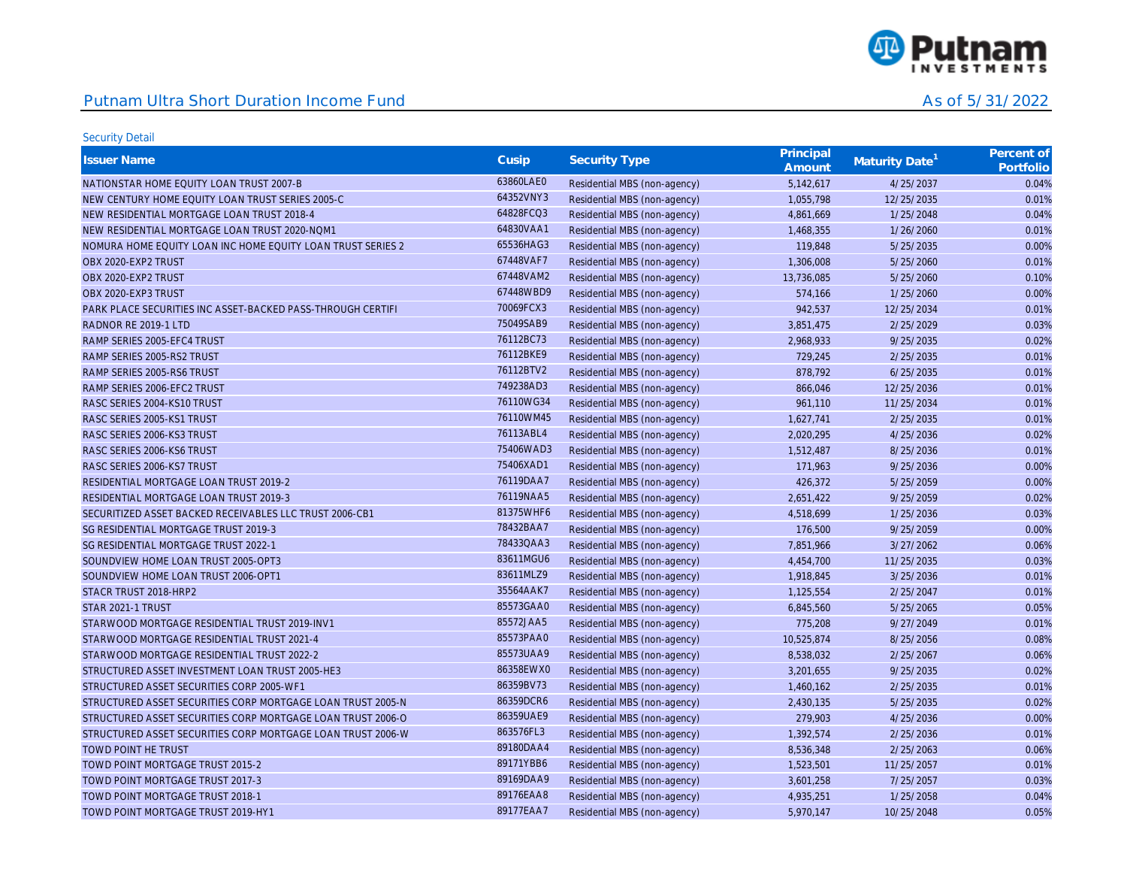

| <b>Issuer Name</b>                                          | Cusip     | <b>Security Type</b>         | Principal<br>Amount | Maturity Date <sup>1</sup> | Percent of<br>Portfolio |
|-------------------------------------------------------------|-----------|------------------------------|---------------------|----------------------------|-------------------------|
| NATIONSTAR HOME EQUITY LOAN TRUST 2007-B                    | 63860LAE0 | Residential MBS (non-agency) | 5,142,617           | 4/25/2037                  | 0.04%                   |
| NEW CENTURY HOME EQUITY LOAN TRUST SERIES 2005-C            | 64352VNY3 | Residential MBS (non-agency) | 1,055,798           | 12/25/2035                 | 0.01%                   |
| NEW RESIDENTIAL MORTGAGE LOAN TRUST 2018-4                  | 64828FCQ3 | Residential MBS (non-agency) | 4,861,669           | 1/25/2048                  | 0.04%                   |
| NEW RESIDENTIAL MORTGAGE LOAN TRUST 2020-NOM1               | 64830VAA1 | Residential MBS (non-agency) | 1,468,355           | 1/26/2060                  | 0.01%                   |
| NOMURA HOME EQUITY LOAN INC HOME EQUITY LOAN TRUST SERIES 2 | 65536HAG3 | Residential MBS (non-agency) | 119,848             | 5/25/2035                  | 0.00%                   |
| OBX 2020-EXP2 TRUST                                         | 67448VAF7 | Residential MBS (non-agency) | 1,306,008           | 5/25/2060                  | 0.01%                   |
| OBX 2020-EXP2 TRUST                                         | 67448VAM2 | Residential MBS (non-agency) | 13,736,085          | 5/25/2060                  | 0.10%                   |
| OBX 2020-EXP3 TRUST                                         | 67448WBD9 | Residential MBS (non-agency) | 574,166             | 1/25/2060                  | 0.00%                   |
| PARK PLACE SECURITIES INC ASSET-BACKED PASS-THROUGH CERTIFI | 70069FCX3 | Residential MBS (non-agency) | 942,537             | 12/25/2034                 | 0.01%                   |
| RADNOR RE 2019-1 LTD                                        | 75049SAB9 | Residential MBS (non-agency) | 3,851,475           | 2/25/2029                  | 0.03%                   |
| RAMP SERIES 2005-EFC4 TRUST                                 | 76112BC73 | Residential MBS (non-agency) | 2,968,933           | 9/25/2035                  | 0.02%                   |
| RAMP SERIES 2005-RS2 TRUST                                  | 76112BKE9 | Residential MBS (non-agency) | 729,245             | 2/25/2035                  | 0.01%                   |
| RAMP SERIES 2005-RS6 TRUST                                  | 76112BTV2 | Residential MBS (non-agency) | 878,792             | 6/25/2035                  | 0.01%                   |
| RAMP SERIES 2006-EFC2 TRUST                                 | 749238AD3 | Residential MBS (non-agency) | 866,046             | 12/25/2036                 | 0.01%                   |
| RASC SERIES 2004-KS10 TRUST                                 | 76110WG34 | Residential MBS (non-agency) | 961,110             | 11/25/2034                 | 0.01%                   |
| RASC SERIES 2005-KS1 TRUST                                  | 76110WM45 | Residential MBS (non-agency) | 1,627,741           | 2/25/2035                  | 0.01%                   |
| RASC SERIES 2006-KS3 TRUST                                  | 76113ABL4 | Residential MBS (non-agency) | 2,020,295           | 4/25/2036                  | 0.02%                   |
| RASC SERIES 2006-KS6 TRUST                                  | 75406WAD3 | Residential MBS (non-agency) | 1,512,487           | 8/25/2036                  | 0.01%                   |
| RASC SERIES 2006-KS7 TRUST                                  | 75406XAD1 | Residential MBS (non-agency) | 171,963             | 9/25/2036                  | 0.00%                   |
| RESIDENTIAL MORTGAGE LOAN TRUST 2019-2                      | 76119DAA7 | Residential MBS (non-agency) | 426,372             | 5/25/2059                  | 0.00%                   |
| RESIDENTIAL MORTGAGE LOAN TRUST 2019-3                      | 76119NAA5 | Residential MBS (non-agency) | 2,651,422           | 9/25/2059                  | 0.02%                   |
| SECURITIZED ASSET BACKED RECEIVABLES LLC TRUST 2006-CB1     | 81375WHF6 | Residential MBS (non-agency) | 4,518,699           | 1/25/2036                  | 0.03%                   |
| SG RESIDENTIAL MORTGAGE TRUST 2019-3                        | 78432BAA7 | Residential MBS (non-agency) | 176,500             | 9/25/2059                  | 0.00%                   |
| SG RESIDENTIAL MORTGAGE TRUST 2022-1                        | 78433QAA3 | Residential MBS (non-agency) | 7,851,966           | 3/27/2062                  | 0.06%                   |
| SOUNDVIEW HOME LOAN TRUST 2005-OPT3                         | 83611MGU6 | Residential MBS (non-agency) | 4,454,700           | 11/25/2035                 | 0.03%                   |
| SOUNDVIEW HOME LOAN TRUST 2006-OPT1                         | 83611MLZ9 | Residential MBS (non-agency) | 1,918,845           | 3/25/2036                  | 0.01%                   |
| STACR TRUST 2018-HRP2                                       | 35564AAK7 | Residential MBS (non-agency) | 1,125,554           | 2/25/2047                  | 0.01%                   |
| STAR 2021-1 TRUST                                           | 85573GAA0 | Residential MBS (non-agency) | 6,845,560           | 5/25/2065                  | 0.05%                   |
| STARWOOD MORTGAGE RESIDENTIAL TRUST 2019-INV1               | 85572JAA5 | Residential MBS (non-agency) | 775,208             | 9/27/2049                  | 0.01%                   |
| STARWOOD MORTGAGE RESIDENTIAL TRUST 2021-4                  | 85573PAA0 | Residential MBS (non-agency) | 10,525,874          | 8/25/2056                  | 0.08%                   |
| STARWOOD MORTGAGE RESIDENTIAL TRUST 2022-2                  | 85573UAA9 | Residential MBS (non-agency) | 8,538,032           | 2/25/2067                  | 0.06%                   |
| STRUCTURED ASSET INVESTMENT LOAN TRUST 2005-HE3             | 86358EWX0 | Residential MBS (non-agency) | 3,201,655           | 9/25/2035                  | 0.02%                   |
| STRUCTURED ASSET SECURITIES CORP 2005-WF1                   | 86359BV73 | Residential MBS (non-agency) | 1,460,162           | 2/25/2035                  | 0.01%                   |
| STRUCTURED ASSET SECURITIES CORP MORTGAGE LOAN TRUST 2005-N | 86359DCR6 | Residential MBS (non-agency) | 2,430,135           | 5/25/2035                  | 0.02%                   |
| STRUCTURED ASSET SECURITIES CORP MORTGAGE LOAN TRUST 2006-O | 86359UAE9 | Residential MBS (non-agency) | 279,903             | 4/25/2036                  | 0.00%                   |
| STRUCTURED ASSET SECURITIES CORP MORTGAGE LOAN TRUST 2006-W | 863576FL3 | Residential MBS (non-agency) | 1,392,574           | 2/25/2036                  | 0.01%                   |
| <b>TOWD POINT HE TRUST</b>                                  | 89180DAA4 | Residential MBS (non-agency) | 8,536,348           | 2/25/2063                  | 0.06%                   |
| TOWD POINT MORTGAGE TRUST 2015-2                            | 89171YBB6 | Residential MBS (non-agency) | 1,523,501           | 11/25/2057                 | 0.01%                   |
| TOWD POINT MORTGAGE TRUST 2017-3                            | 89169DAA9 | Residential MBS (non-agency) | 3,601,258           | 7/25/2057                  | 0.03%                   |
| TOWD POINT MORTGAGE TRUST 2018-1                            | 89176EAA8 | Residential MBS (non-agency) | 4,935,251           | 1/25/2058                  | 0.04%                   |
| TOWD POINT MORTGAGE TRUST 2019-HY1                          | 89177EAA7 | Residential MBS (non-agency) | 5,970,147           | 10/25/2048                 | 0.05%                   |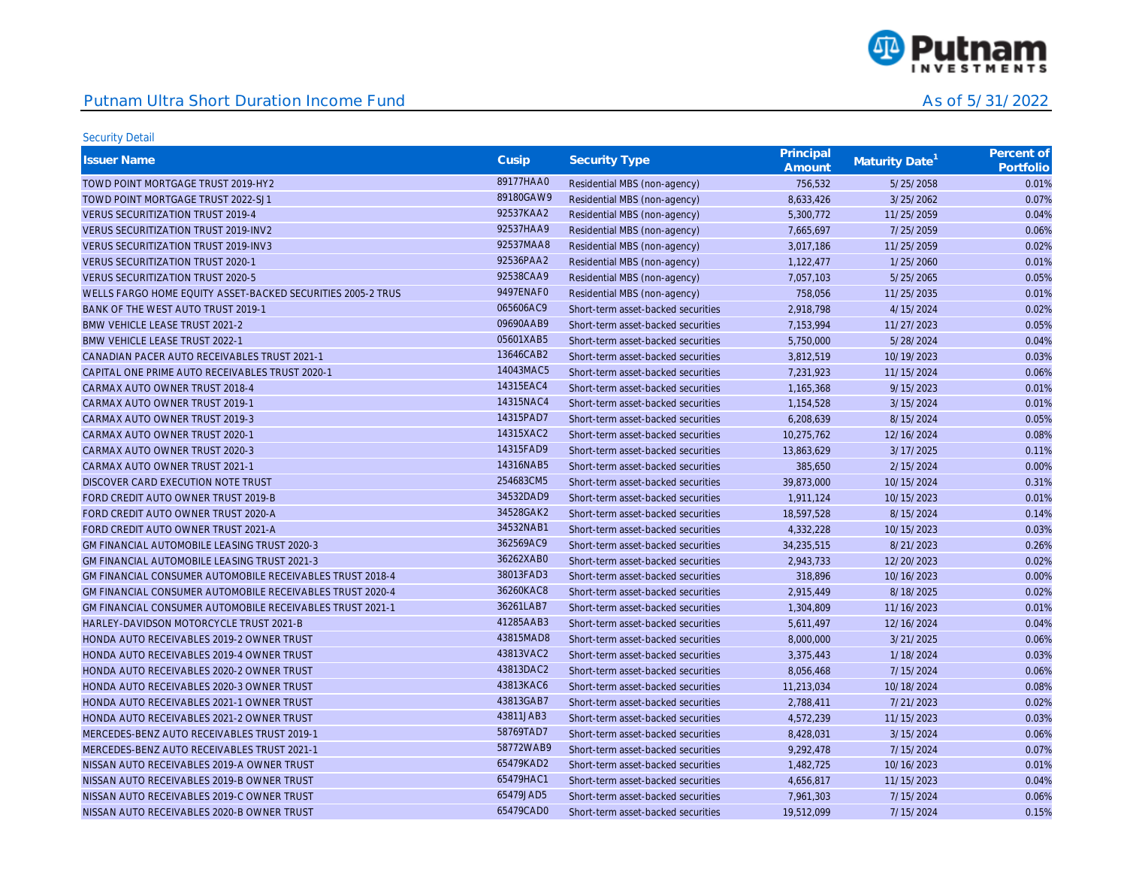

| <b>Issuer Name</b>                                               | Cusip     | Security Type                      | Principal<br>Amount | Maturity Date <sup>1</sup> | Percent of<br>Portfolio |
|------------------------------------------------------------------|-----------|------------------------------------|---------------------|----------------------------|-------------------------|
| TOWD POINT MORTGAGE TRUST 2019-HY2                               | 89177HAA0 | Residential MBS (non-agency)       | 756.532             | 5/25/2058                  | 0.01%                   |
| TOWD POINT MORTGAGE TRUST 2022-SJ1                               | 89180GAW9 | Residential MBS (non-agency)       | 8,633,426           | 3/25/2062                  | 0.07%                   |
| <b>VERUS SECURITIZATION TRUST 2019-4</b>                         | 92537KAA2 | Residential MBS (non-agency)       | 5,300,772           | 11/25/2059                 | 0.04%                   |
| <b>VERUS SECURITIZATION TRUST 2019-INV2</b>                      | 92537HAA9 | Residential MBS (non-agency)       | 7,665,697           | 7/25/2059                  | 0.06%                   |
| <b>VERUS SECURITIZATION TRUST 2019-INV3</b>                      | 92537MAA8 | Residential MBS (non-agency)       | 3,017,186           | 11/25/2059                 | 0.02%                   |
| <b>VERUS SECURITIZATION TRUST 2020-1</b>                         | 92536PAA2 | Residential MBS (non-agency)       | 1,122,477           | 1/25/2060                  | 0.01%                   |
| <b>VERUS SECURITIZATION TRUST 2020-5</b>                         | 92538CAA9 | Residential MBS (non-agency)       | 7,057,103           | 5/25/2065                  | 0.05%                   |
| WELLS FARGO HOME EQUITY ASSET-BACKED SECURITIES 2005-2 TRUS      | 9497ENAF0 | Residential MBS (non-agency)       | 758,056             | 11/25/2035                 | 0.01%                   |
| BANK OF THE WEST AUTO TRUST 2019-1                               | 065606AC9 | Short-term asset-backed securities | 2,918,798           | 4/15/2024                  | 0.02%                   |
| <b>BMW VEHICLE LEASE TRUST 2021-2</b>                            | 09690AAB9 | Short-term asset-backed securities | 7,153,994           | 11/27/2023                 | 0.05%                   |
| <b>BMW VEHICLE LEASE TRUST 2022-1</b>                            | 05601XAB5 | Short-term asset-backed securities | 5,750,000           | 5/28/2024                  | 0.04%                   |
| CANADIAN PACER AUTO RECEIVABLES TRUST 2021-1                     | 13646CAB2 | Short-term asset-backed securities | 3,812,519           | 10/19/2023                 | 0.03%                   |
| CAPITAL ONE PRIME AUTO RECEIVABLES TRUST 2020-1                  | 14043MAC5 | Short-term asset-backed securities | 7,231,923           | 11/15/2024                 | 0.06%                   |
| CARMAX AUTO OWNER TRUST 2018-4                                   | 14315EAC4 | Short-term asset-backed securities | 1,165,368           | 9/15/2023                  | 0.01%                   |
| CARMAX AUTO OWNER TRUST 2019-1                                   | 14315NAC4 | Short-term asset-backed securities | 1,154,528           | 3/15/2024                  | 0.01%                   |
| CARMAX AUTO OWNER TRUST 2019-3                                   | 14315PAD7 | Short-term asset-backed securities | 6,208,639           | 8/15/2024                  | 0.05%                   |
| CARMAX AUTO OWNER TRUST 2020-1                                   | 14315XAC2 | Short-term asset-backed securities | 10,275,762          | 12/16/2024                 | 0.08%                   |
| CARMAX AUTO OWNER TRUST 2020-3                                   | 14315FAD9 | Short-term asset-backed securities | 13,863,629          | 3/17/2025                  | 0.11%                   |
| CARMAX AUTO OWNER TRUST 2021-1                                   | 14316NAB5 | Short-term asset-backed securities | 385,650             | 2/15/2024                  | 0.00%                   |
| DISCOVER CARD EXECUTION NOTE TRUST                               | 254683CM5 | Short-term asset-backed securities | 39,873,000          | 10/15/2024                 | 0.31%                   |
| FORD CREDIT AUTO OWNER TRUST 2019-B                              | 34532DAD9 | Short-term asset-backed securities | 1,911,124           | 10/15/2023                 | 0.01%                   |
| FORD CREDIT AUTO OWNER TRUST 2020-A                              | 34528GAK2 | Short-term asset-backed securities | 18,597,528          | 8/15/2024                  | 0.14%                   |
| FORD CREDIT AUTO OWNER TRUST 2021-A                              | 34532NAB1 | Short-term asset-backed securities | 4,332,228           | 10/15/2023                 | 0.03%                   |
| GM FINANCIAL AUTOMOBILE LEASING TRUST 2020-3                     | 362569AC9 | Short-term asset-backed securities | 34,235,515          | 8/21/2023                  | 0.26%                   |
| <b>GM FINANCIAL AUTOMOBILE LEASING TRUST 2021-3</b>              | 36262XAB0 | Short-term asset-backed securities | 2,943,733           | 12/20/2023                 | 0.02%                   |
| GM FINANCIAL CONSUMER AUTOMOBILE RECEIVABLES TRUST 2018-4        | 38013FAD3 | Short-term asset-backed securities | 318,896             | 10/16/2023                 | 0.00%                   |
| GM FINANCIAL CONSUMER AUTOMOBILE RECEIVABLES TRUST 2020-4        | 36260KAC8 | Short-term asset-backed securities | 2,915,449           | 8/18/2025                  | 0.02%                   |
| <b>GM FINANCIAL CONSUMER AUTOMOBILE RECEIVABLES TRUST 2021-1</b> | 36261LAB7 | Short-term asset-backed securities | 1,304,809           | 11/16/2023                 | 0.01%                   |
| HARLEY-DAVIDSON MOTORCYCLE TRUST 2021-B                          | 41285AAB3 | Short-term asset-backed securities | 5,611,497           | 12/16/2024                 | 0.04%                   |
| HONDA AUTO RECEIVABLES 2019-2 OWNER TRUST                        | 43815MAD8 | Short-term asset-backed securities | 8,000,000           | 3/21/2025                  | 0.06%                   |
| HONDA AUTO RECEIVABLES 2019-4 OWNER TRUST                        | 43813VAC2 | Short-term asset-backed securities | 3,375,443           | 1/18/2024                  | 0.03%                   |
| HONDA AUTO RECEIVABLES 2020-2 OWNER TRUST                        | 43813DAC2 | Short-term asset-backed securities | 8,056,468           | 7/15/2024                  | 0.06%                   |
| HONDA AUTO RECEIVABLES 2020-3 OWNER TRUST                        | 43813KAC6 | Short-term asset-backed securities | 11,213,034          | 10/18/2024                 | 0.08%                   |
| HONDA AUTO RECEIVABLES 2021-1 OWNER TRUST                        | 43813GAB7 | Short-term asset-backed securities | 2,788,411           | 7/21/2023                  | 0.02%                   |
| HONDA AUTO RECEIVABLES 2021-2 OWNER TRUST                        | 43811JAB3 | Short-term asset-backed securities | 4,572,239           | 11/15/2023                 | 0.03%                   |
| MERCEDES-BENZ AUTO RECEIVABLES TRUST 2019-1                      | 58769TAD7 | Short-term asset-backed securities | 8,428,031           | 3/15/2024                  | 0.06%                   |
| MERCEDES-BENZ AUTO RECEIVABLES TRUST 2021-1                      | 58772WAB9 | Short-term asset-backed securities | 9,292,478           | 7/15/2024                  | 0.07%                   |
| NISSAN AUTO RECEIVABLES 2019-A OWNER TRUST                       | 65479KAD2 | Short-term asset-backed securities | 1,482,725           | 10/16/2023                 | 0.01%                   |
| NISSAN AUTO RECEIVABLES 2019-B OWNER TRUST                       | 65479HAC1 | Short-term asset-backed securities | 4,656,817           | 11/15/2023                 | 0.04%                   |
| NISSAN AUTO RECEIVABLES 2019-C OWNER TRUST                       | 65479JAD5 | Short-term asset-backed securities | 7,961,303           | 7/15/2024                  | 0.06%                   |
| NISSAN AUTO RECEIVABLES 2020-B OWNER TRUST                       | 65479CAD0 | Short-term asset-backed securities | 19,512,099          | 7/15/2024                  | 0.15%                   |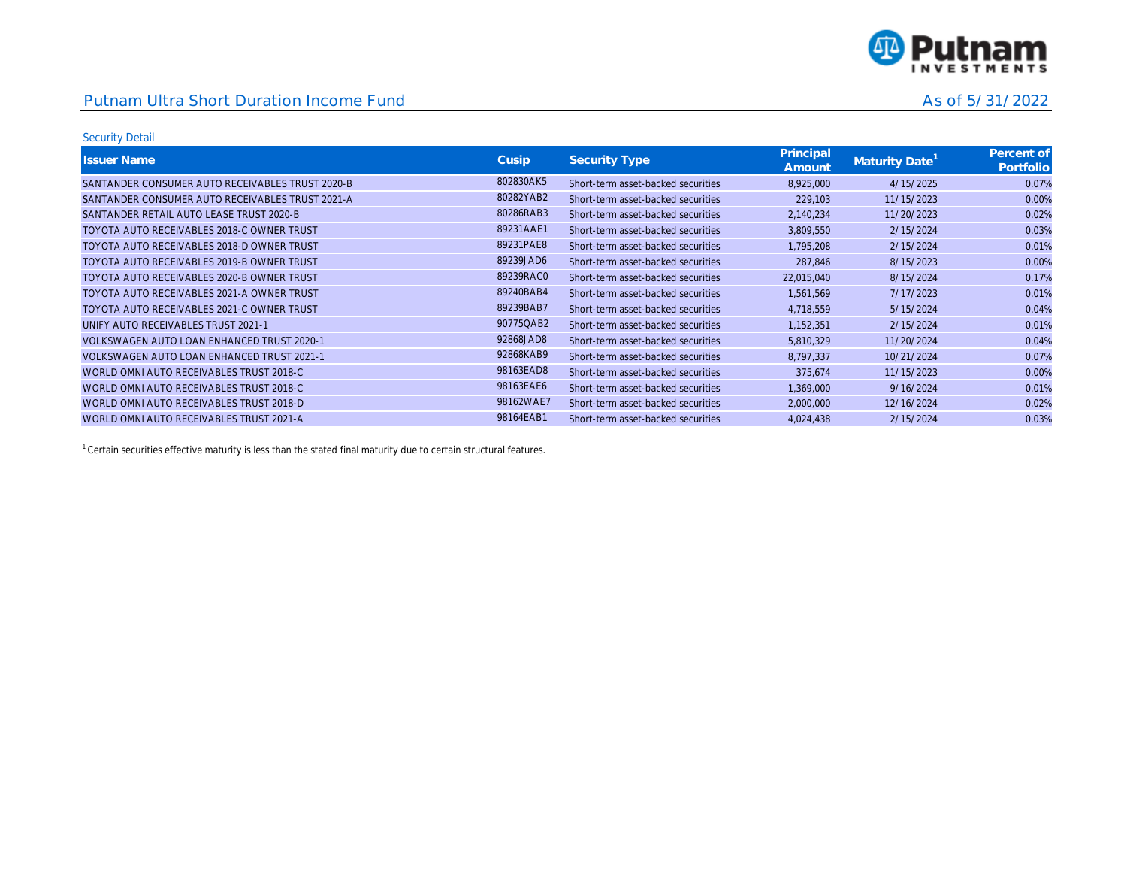

#### Security Detail

| <b>Issuer Name</b>                               | Cusip     | <b>Security Type</b>               | Principal<br>Amount | Maturity Date <sup>1</sup> | Percent of<br>Portfolio |
|--------------------------------------------------|-----------|------------------------------------|---------------------|----------------------------|-------------------------|
| SANTANDER CONSUMER AUTO RECEIVABLES TRUST 2020-B | 802830AK5 | Short-term asset-backed securities | 8,925,000           | 4/15/2025                  | 0.07%                   |
| SANTANDER CONSUMER AUTO RECEIVABLES TRUST 2021-A | 80282YAB2 | Short-term asset-backed securities | 229,103             | 11/15/2023                 | 0.00%                   |
| SANTANDER RETAIL AUTO LEASE TRUST 2020-B         | 80286RAB3 | Short-term asset-backed securities | 2,140,234           | 11/20/2023                 | 0.02%                   |
| TOYOTA AUTO RECEIVABLES 2018-C OWNER TRUST       | 89231AAE1 | Short-term asset-backed securities | 3,809,550           | 2/15/2024                  | 0.03%                   |
| TOYOTA AUTO RECEIVABLES 2018-D OWNER TRUST       | 89231PAE8 | Short-term asset-backed securities | 1,795,208           | 2/15/2024                  | 0.01%                   |
| TOYOTA AUTO RECEIVABLES 2019-B OWNER TRUST       | 89239JAD6 | Short-term asset-backed securities | 287.846             | 8/15/2023                  | 0.00%                   |
| TOYOTA AUTO RECEIVABLES 2020-B OWNER TRUST       | 89239RAC0 | Short-term asset-backed securities | 22,015,040          | 8/15/2024                  | 0.17%                   |
| TOYOTA AUTO RECEIVABLES 2021-A OWNER TRUST       | 89240BAB4 | Short-term asset-backed securities | 1,561,569           | 7/17/2023                  | 0.01%                   |
| TOYOTA AUTO RECEIVABLES 2021-C OWNER TRUST       | 89239BAB7 | Short-term asset-backed securities | 4,718,559           | 5/15/2024                  | 0.04%                   |
| UNIFY AUTO RECEIVABLES TRUST 2021-1              | 90775QAB2 | Short-term asset-backed securities | 1,152,351           | 2/15/2024                  | 0.01%                   |
| VOLKSWAGEN AUTO LOAN ENHANCED TRUST 2020-1       | 92868JAD8 | Short-term asset-backed securities | 5,810,329           | 11/20/2024                 | 0.04%                   |
| VOLKSWAGEN AUTO LOAN ENHANCED TRUST 2021-1       | 92868KAB9 | Short-term asset-backed securities | 8,797,337           | 10/21/2024                 | 0.07%                   |
| WORLD OMNI AUTO RECEIVABLES TRUST 2018-C         | 98163EAD8 | Short-term asset-backed securities | 375,674             | 11/15/2023                 | 0.00%                   |
| WORLD OMNI AUTO RECEIVABLES TRUST 2018-C         | 98163EAE6 | Short-term asset-backed securities | 1,369,000           | 9/16/2024                  | 0.01%                   |
| WORLD OMNI AUTO RECEIVABLES TRUST 2018-D         | 98162WAE7 | Short-term asset-backed securities | 2,000,000           | 12/16/2024                 | 0.02%                   |
| WORLD OMNI AUTO RECEIVABLES TRUST 2021-A         | 98164EAB1 | Short-term asset-backed securities | 4,024,438           | 2/15/2024                  | 0.03%                   |

 $1$  Certain securities effective maturity is less than the stated final maturity due to certain structural features.